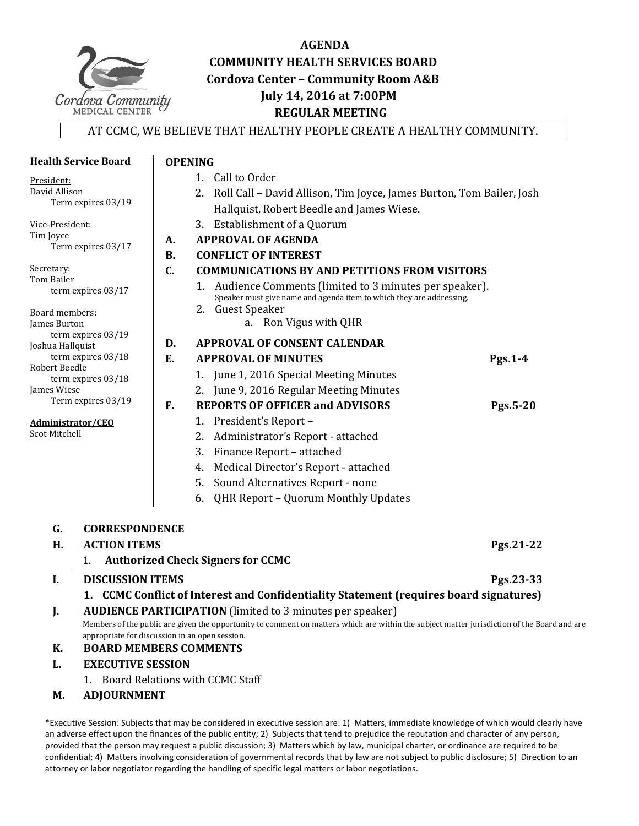

# **AGENDA COMMUNITY HEALTH SERVICES BOARD Cordova Center – Community Room A&B July 14, 2016 at 7:00PM REGULAR MEETING**

### AT CCMC, WE BELIEVE THAT HEALTHY PEOPLE CREATE A HEALTHY COMMUNITY.

|                                                                                                 | <b>Health Service Board</b>                    | <b>OPENING</b> |                                                                                                                                             |           |
|-------------------------------------------------------------------------------------------------|------------------------------------------------|----------------|---------------------------------------------------------------------------------------------------------------------------------------------|-----------|
| President:                                                                                      |                                                |                | 1. Call to Order                                                                                                                            |           |
| David Allison                                                                                   |                                                |                | Roll Call - David Allison, Tim Joyce, James Burton, Tom Bailer, Josh<br>2.                                                                  |           |
|                                                                                                 | Term expires 03/19                             |                | Hallquist, Robert Beedle and James Wiese.                                                                                                   |           |
| Vice-President:                                                                                 |                                                |                | 3. Establishment of a Quorum                                                                                                                |           |
| Tim Joyce                                                                                       |                                                | A.             | <b>APPROVAL OF AGENDA</b>                                                                                                                   |           |
|                                                                                                 | Term expires 03/17                             | <b>B.</b>      | <b>CONFLICT OF INTEREST</b>                                                                                                                 |           |
| Secretary:                                                                                      |                                                | C.             | <b>COMMUNICATIONS BY AND PETITIONS FROM VISITORS</b>                                                                                        |           |
| Tom Bailer                                                                                      |                                                |                | 1. Audience Comments (limited to 3 minutes per speaker).                                                                                    |           |
|                                                                                                 | term expires 03/17                             |                | Speaker must give name and agenda item to which they are addressing.                                                                        |           |
| Board members:                                                                                  |                                                |                | 2. Guest Speaker                                                                                                                            |           |
| James Burton<br>term expires 03/19<br>Joshua Hallquist<br>term expires $03/18$<br>Robert Beedle |                                                |                | a. Ron Vigus with QHR                                                                                                                       |           |
|                                                                                                 |                                                | D.             | <b>APPROVAL OF CONSENT CALENDAR</b>                                                                                                         |           |
|                                                                                                 |                                                | E.             | <b>APPROVAL OF MINUTES</b>                                                                                                                  | Pgs.1-4   |
|                                                                                                 | term expires 03/18                             |                | 1. June 1, 2016 Special Meeting Minutes                                                                                                     |           |
| James Wiese                                                                                     |                                                |                | 2. June 9, 2016 Regular Meeting Minutes                                                                                                     |           |
|                                                                                                 | Term expires 03/19                             | F.             | <b>REPORTS OF OFFICER and ADVISORS</b>                                                                                                      | Pgs.5-20  |
| Administrator/CEO                                                                               |                                                |                | 1. President's Report -                                                                                                                     |           |
| <b>Scot Mitchell</b>                                                                            |                                                |                | 2. Administrator's Report - attached                                                                                                        |           |
|                                                                                                 |                                                |                | 3. Finance Report - attached                                                                                                                |           |
|                                                                                                 |                                                |                | 4. Medical Director's Report - attached                                                                                                     |           |
|                                                                                                 |                                                |                | 5.<br>Sound Alternatives Report - none                                                                                                      |           |
|                                                                                                 |                                                |                | QHR Report - Quorum Monthly Updates<br>6.                                                                                                   |           |
|                                                                                                 |                                                |                |                                                                                                                                             |           |
| G.                                                                                              | <b>CORRESPONDENCE</b>                          |                |                                                                                                                                             |           |
| H.                                                                                              | <b>ACTION ITEMS</b>                            |                |                                                                                                                                             | Pgs.21-22 |
|                                                                                                 |                                                |                | 1. Authorized Check Signers for CCMC                                                                                                        |           |
| I.                                                                                              | <b>DISCUSSION ITEMS</b>                        |                |                                                                                                                                             | Pgs.23-33 |
| 1. CCMC Conflict of Interest and Confidentiality Statement (requires board signatures)          |                                                |                |                                                                                                                                             |           |
| J.                                                                                              |                                                |                | <b>AUDIENCE PARTICIPATION</b> (limited to 3 minutes per speaker)                                                                            |           |
|                                                                                                 |                                                |                | Members of the public are given the opportunity to comment on matters which are within the subject matter jurisdiction of the Board and are |           |
|                                                                                                 | appropriate for discussion in an open session. |                |                                                                                                                                             |           |
| К.                                                                                              | <b>BOARD MEMBERS COMMENTS</b>                  |                |                                                                                                                                             |           |
| L.                                                                                              | <b>EXECUTIVE SESSION</b>                       |                |                                                                                                                                             |           |
|                                                                                                 | 1. Board Relations with CCMC Staff             |                |                                                                                                                                             |           |

**M. ADJOURNMENT**

\*Executive Session: Subjects that may be considered in executive session are: 1) Matters, immediate knowledge of which would clearly have an adverse effect upon the finances of the public entity; 2) Subjects that tend to prejudice the reputation and character of any person, provided that the person may request a public discussion; 3) Matters which by law, municipal charter, or ordinance are required to be confidential; 4) Matters involving consideration of governmental records that by law are not subject to public disclosure; 5) Direction to an attorney or labor negotiator regarding the handling of specific legal matters or labor negotiations.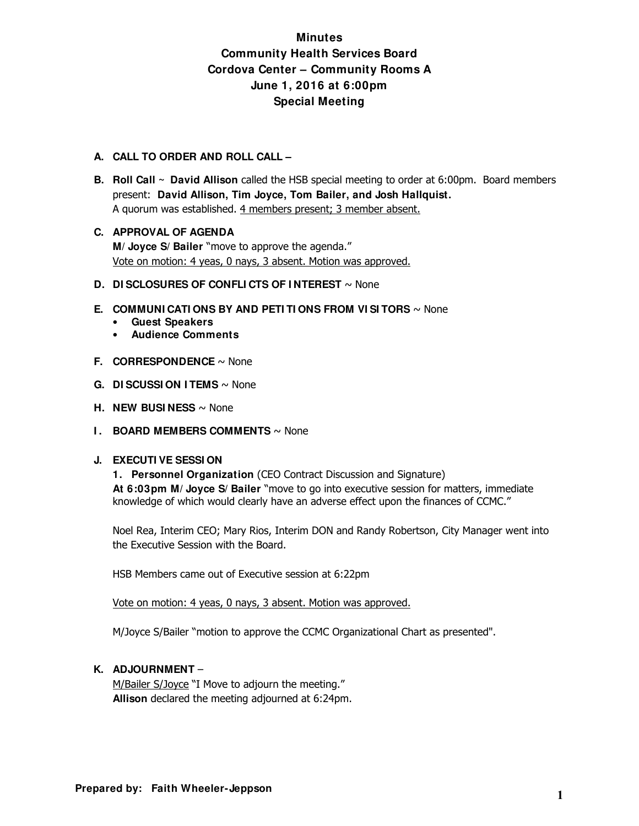# **Minutes Community Health Services Board Cordova Center – Community Rooms A June 1, 2016 at 6:00pm Special Meeting**

### **A. CALL TO ORDER AND ROLL CALL –**

- **B. Roll Call ~ David Allison** called the HSB special meeting to order at 6:00pm. Board members present: **David Allison, Tim Joyce, Tom Bailer, and Josh Hallquist.**  A quorum was established. 4 members present; 3 member absent.
- **C. APPROVAL OF AGENDA M/ Joyce S/ Bailer** "move to approve the agenda." Vote on motion: 4 yeas, 0 nays, 3 absent. Motion was approved.
- **D. DI SCLOSURES OF CONFLI CTS OF I NTEREST** ~ None
- **E. COMMUNI CATI ONS BY AND PETI TI ONS FROM VI SI TORS** ~ None
	- **Guest Speakers**
	- **Audience Comments**
- **F. CORRESPONDENCE** ~ None
- **G. DI SCUSSI ON I TEMS** ~ None
- **H. NEW BUSINESS** ~ None
- **I. BOARD MEMBERS COMMENTS** ~ None

### **J. EXECUTI VE SESSI ON**

**1. Personnel Organization** (CEO Contract Discussion and Signature)  **At 6:03pm M/ Joyce S/ Bailer** "move to go into executive session for matters, immediate knowledge of which would clearly have an adverse effect upon the finances of CCMC."

Noel Rea, Interim CEO; Mary Rios, Interim DON and Randy Robertson, City Manager went into the Executive Session with the Board.

HSB Members came out of Executive session at 6:22pm

Vote on motion: 4 yeas, 0 nays, 3 absent. Motion was approved.

M/Joyce S/Bailer "motion to approve the CCMC Organizational Chart as presented".

### **K. ADJOURNMENT** –

M/Bailer S/Joyce "I Move to adjourn the meeting." **Allison** declared the meeting adjourned at 6:24pm.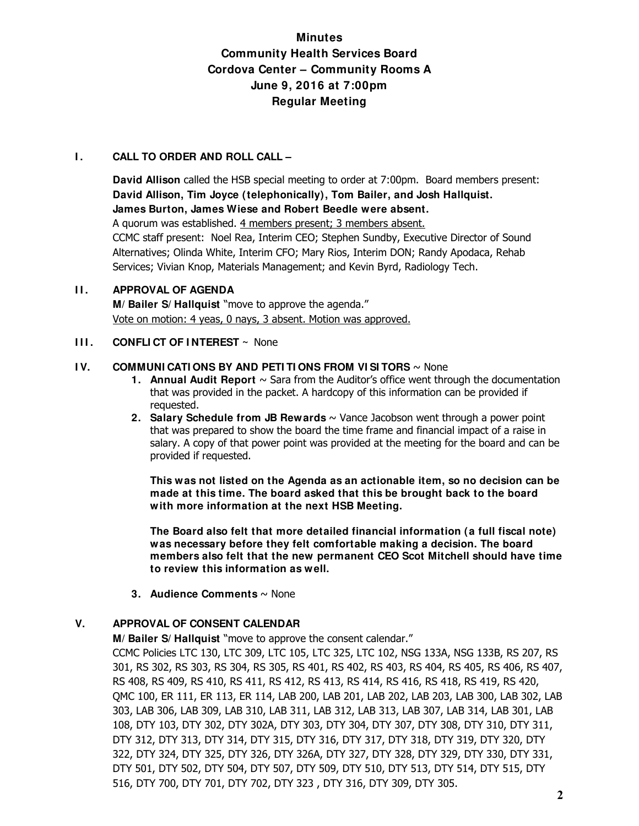# **Minutes Community Health Services Board Cordova Center – Community Rooms A June 9, 2016 at 7:00pm Regular Meeting**

### **I. CALL TO ORDER AND ROLL CALL –**

**David Allison** called the HSB special meeting to order at 7:00pm. Board members present: **David Allison, Tim Joyce (telephonically), Tom Bailer, and Josh Hallquist. James Burton, James Wiese and Robert Beedle were absent.**  A quorum was established. 4 members present; 3 members absent. CCMC staff present: Noel Rea, Interim CEO; Stephen Sundby, Executive Director of Sound Alternatives; Olinda White, Interim CFO; Mary Rios, Interim DON; Randy Apodaca, Rehab Services; Vivian Knop, Materials Management; and Kevin Byrd, Radiology Tech.

**II. APPROVAL OF AGENDA M/ Bailer S/ Hallquist** "move to approve the agenda." Vote on motion: 4 yeas, 0 nays, 3 absent. Motion was approved.

### **III. CONFLICT OF INTEREST** ~ None

### **IV. COMMUNI CATI ONS BY AND PETI TI ONS FROM VI SI TORS**  $\sim$  None

- **1. Annual Audit Report** ~ Sara from the Auditor's office went through the documentation that was provided in the packet. A hardcopy of this information can be provided if requested.
- **2. Salary Schedule from JB Rewards** ~ Vance Jacobson went through a power point that was prepared to show the board the time frame and financial impact of a raise in salary. A copy of that power point was provided at the meeting for the board and can be provided if requested.

**This was not listed on the Agenda as an actionable item, so no decision can be made at this time. The board asked that this be brought back to the board with more information at the next HSB Meeting.** 

**The Board also felt that more detailed financial information (a full fiscal note) was necessary before they felt comfortable making a decision. The board members also felt that the new permanent CEO Scot Mitchell should have time to review this information as well.** 

**3. Audience Comments** ~ None

### **V. APPROVAL OF CONSENT CALENDAR**

**M/ Bailer S/ Hallquist** "move to approve the consent calendar."

CCMC Policies LTC 130, LTC 309, LTC 105, LTC 325, LTC 102, NSG 133A, NSG 133B, RS 207, RS 301, RS 302, RS 303, RS 304, RS 305, RS 401, RS 402, RS 403, RS 404, RS 405, RS 406, RS 407, RS 408, RS 409, RS 410, RS 411, RS 412, RS 413, RS 414, RS 416, RS 418, RS 419, RS 420, QMC 100, ER 111, ER 113, ER 114, LAB 200, LAB 201, LAB 202, LAB 203, LAB 300, LAB 302, LAB 303, LAB 306, LAB 309, LAB 310, LAB 311, LAB 312, LAB 313, LAB 307, LAB 314, LAB 301, LAB 108, DTY 103, DTY 302, DTY 302A, DTY 303, DTY 304, DTY 307, DTY 308, DTY 310, DTY 311, DTY 312, DTY 313, DTY 314, DTY 315, DTY 316, DTY 317, DTY 318, DTY 319, DTY 320, DTY 322, DTY 324, DTY 325, DTY 326, DTY 326A, DTY 327, DTY 328, DTY 329, DTY 330, DTY 331, DTY 501, DTY 502, DTY 504, DTY 507, DTY 509, DTY 510, DTY 513, DTY 514, DTY 515, DTY 516, DTY 700, DTY 701, DTY 702, DTY 323 , DTY 316, DTY 309, DTY 305.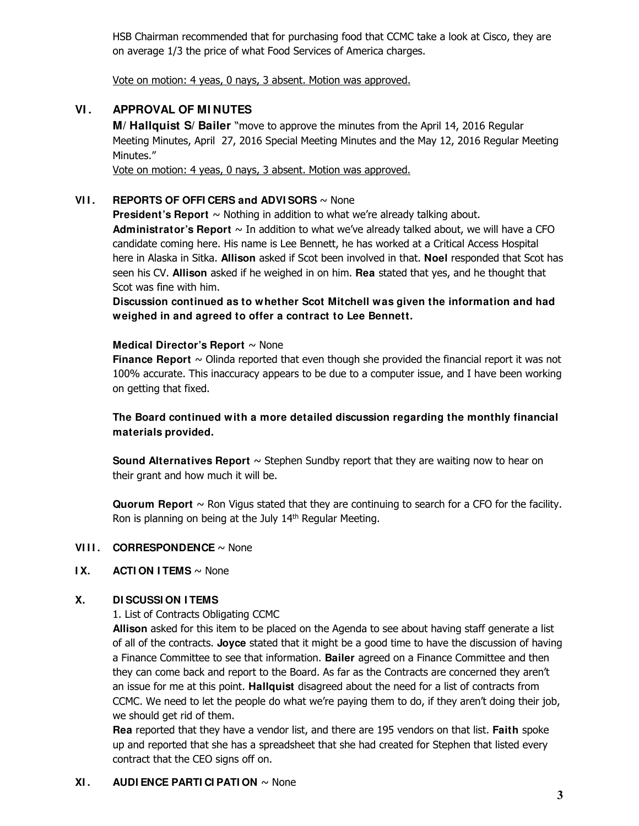HSB Chairman recommended that for purchasing food that CCMC take a look at Cisco, they are on average 1/3 the price of what Food Services of America charges.

Vote on motion: 4 yeas, 0 nays, 3 absent. Motion was approved.

## **VI . APPROVAL OF MI NUTES**

**M/ Hallquist S/ Bailer** "move to approve the minutes from the April 14, 2016 Regular Meeting Minutes, April 27, 2016 Special Meeting Minutes and the May 12, 2016 Regular Meeting Minutes."

Vote on motion: 4 yeas, 0 nays, 3 absent. Motion was approved.

### **VII.** REPORTS OF OFFICERS and ADVISORS  $\sim$  None

**President's Report** ~ Nothing in addition to what we're already talking about. Administrator's Report  $\sim$  In addition to what we've already talked about, we will have a CFO candidate coming here. His name is Lee Bennett, he has worked at a Critical Access Hospital here in Alaska in Sitka. **Allison** asked if Scot been involved in that. **Noel** responded that Scot has seen his CV. **Allison** asked if he weighed in on him. **Rea** stated that yes, and he thought that Scot was fine with him.

**Discussion continued as to whether Scot Mitchell was given the information and had weighed in and agreed to offer a contract to Lee Bennett.** 

### **Medical Director's Report** ~ None

**Finance Report**  $\sim$  Olinda reported that even though she provided the financial report it was not 100% accurate. This inaccuracy appears to be due to a computer issue, and I have been working on getting that fixed.

### **The Board continued with a more detailed discussion regarding the monthly financial materials provided.**

**Sound Alternatives Report** ~ Stephen Sundby report that they are waiting now to hear on their grant and how much it will be.

**Quorum Report** ~ Ron Vigus stated that they are continuing to search for a CFO for the facility. Ron is planning on being at the July 14<sup>th</sup> Regular Meeting.

### **VIII. CORRESPONDENCE** ~ None

### **IX.** ACTION ITEMS ~ None

### **X. DI SCUSSI ON I TEMS**

1. List of Contracts Obligating CCMC

**Allison** asked for this item to be placed on the Agenda to see about having staff generate a list of all of the contracts. **Joyce** stated that it might be a good time to have the discussion of having a Finance Committee to see that information. **Bailer** agreed on a Finance Committee and then they can come back and report to the Board. As far as the Contracts are concerned they aren't an issue for me at this point. **Hallquist** disagreed about the need for a list of contracts from CCMC. We need to let the people do what we're paying them to do, if they aren't doing their job, we should get rid of them.

**Rea** reported that they have a vendor list, and there are 195 vendors on that list. **Faith** spoke up and reported that she has a spreadsheet that she had created for Stephen that listed every contract that the CEO signs off on.

### **XI. AUDI ENCE PARTI CI PATI ON**  $\sim$  None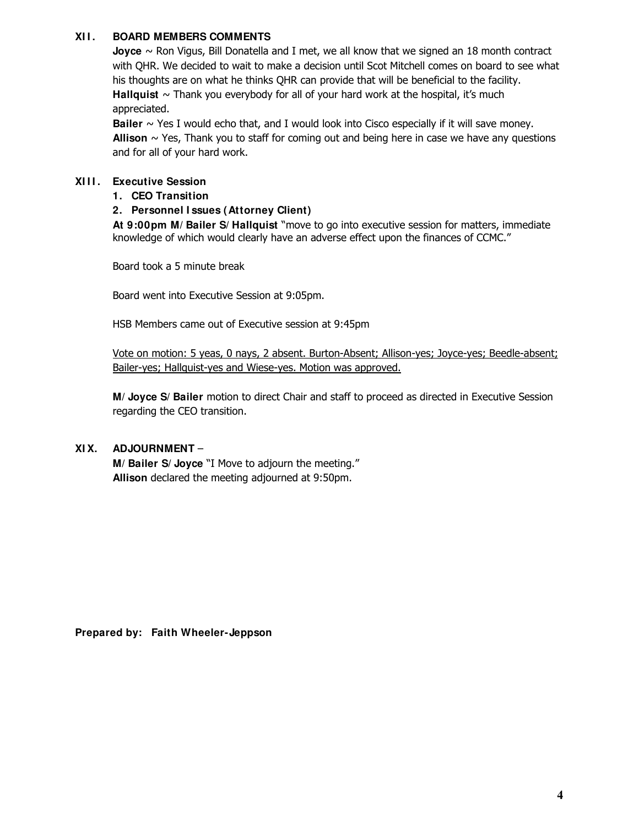### **XI I . BOARD MEMBERS COMMENTS**

**Joyce** ~ Ron Vigus, Bill Donatella and I met, we all know that we signed an 18 month contract with QHR. We decided to wait to make a decision until Scot Mitchell comes on board to see what his thoughts are on what he thinks QHR can provide that will be beneficial to the facility. **Hallquist**  $\sim$  Thank you everybody for all of your hard work at the hospital, it's much appreciated.

**Bailer** ~ Yes I would echo that, and I would look into Cisco especially if it will save money. **Allison**  $\sim$  Yes, Thank you to staff for coming out and being here in case we have any questions and for all of your hard work.

### **XI I I . Executive Session**

### **1. CEO Transition**

### **2. Personnel I ssues (Attorney Client)**

 **At 9:00pm M/ Bailer S/ Hallquist** "move to go into executive session for matters, immediate knowledge of which would clearly have an adverse effect upon the finances of CCMC."

Board took a 5 minute break

Board went into Executive Session at 9:05pm.

HSB Members came out of Executive session at 9:45pm

Vote on motion: 5 yeas, 0 nays, 2 absent. Burton-Absent; Allison-yes; Joyce-yes; Beedle-absent; Bailer-yes; Hallquist-yes and Wiese-yes. Motion was approved.

**M/ Joyce S/ Bailer** motion to direct Chair and staff to proceed as directed in Executive Session regarding the CEO transition.

### **XI X. ADJOURNMENT** –

**M/ Bailer S/ Joyce** "I Move to adjourn the meeting." **Allison** declared the meeting adjourned at 9:50pm.

**Prepared by: Faith Wheeler-Jeppson**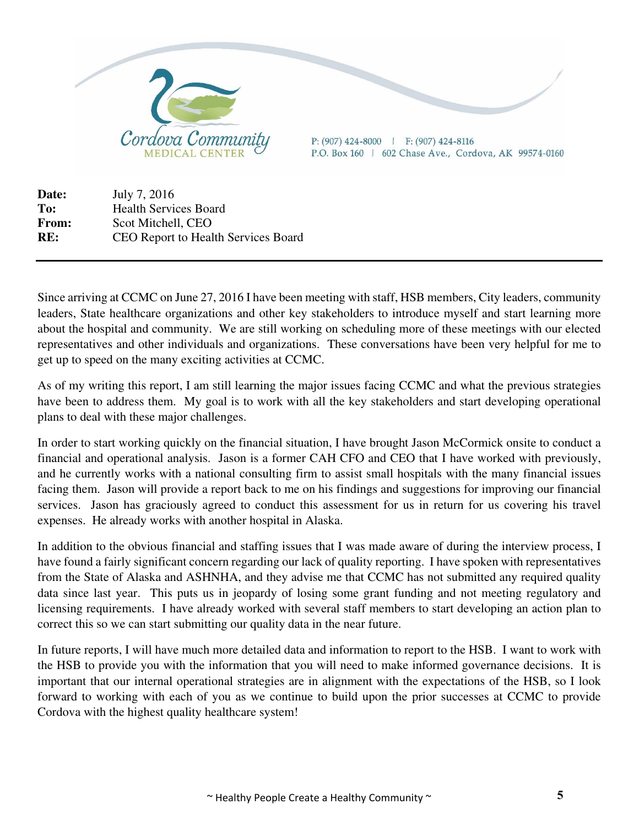

**Date:** July 7, 2016 **To:** Health Services Board **From:** Scot Mitchell, CEO **RE:** CEO Report to Health Services Board

Since arriving at CCMC on June 27, 2016 I have been meeting with staff, HSB members, City leaders, community leaders, State healthcare organizations and other key stakeholders to introduce myself and start learning more about the hospital and community. We are still working on scheduling more of these meetings with our elected representatives and other individuals and organizations. These conversations have been very helpful for me to get up to speed on the many exciting activities at CCMC.

As of my writing this report, I am still learning the major issues facing CCMC and what the previous strategies have been to address them. My goal is to work with all the key stakeholders and start developing operational plans to deal with these major challenges.

In order to start working quickly on the financial situation, I have brought Jason McCormick onsite to conduct a financial and operational analysis. Jason is a former CAH CFO and CEO that I have worked with previously, and he currently works with a national consulting firm to assist small hospitals with the many financial issues facing them. Jason will provide a report back to me on his findings and suggestions for improving our financial services. Jason has graciously agreed to conduct this assessment for us in return for us covering his travel expenses. He already works with another hospital in Alaska.

In addition to the obvious financial and staffing issues that I was made aware of during the interview process, I have found a fairly significant concern regarding our lack of quality reporting. I have spoken with representatives from the State of Alaska and ASHNHA, and they advise me that CCMC has not submitted any required quality data since last year. This puts us in jeopardy of losing some grant funding and not meeting regulatory and licensing requirements. I have already worked with several staff members to start developing an action plan to correct this so we can start submitting our quality data in the near future.

In future reports, I will have much more detailed data and information to report to the HSB. I want to work with the HSB to provide you with the information that you will need to make informed governance decisions. It is important that our internal operational strategies are in alignment with the expectations of the HSB, so I look forward to working with each of you as we continue to build upon the prior successes at CCMC to provide Cordova with the highest quality healthcare system!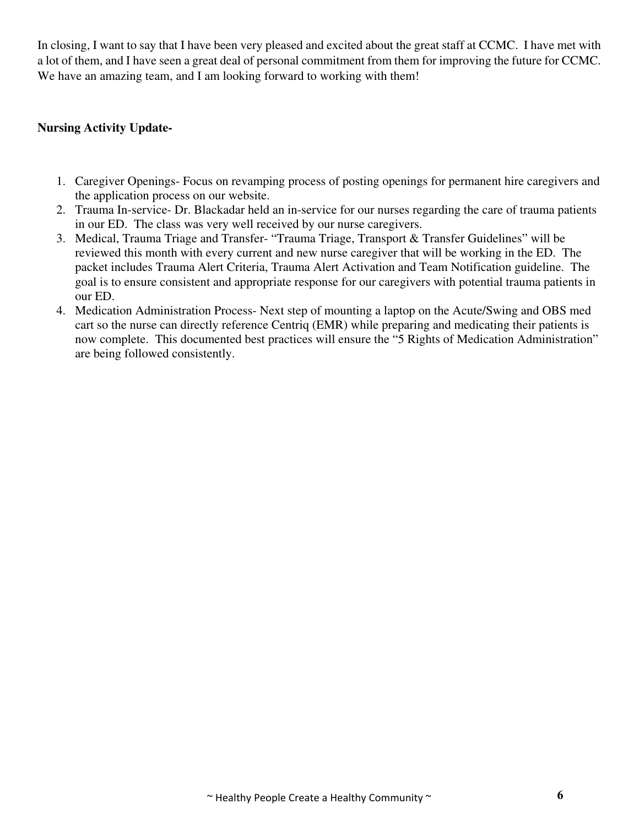In closing, I want to say that I have been very pleased and excited about the great staff at CCMC. I have met with a lot of them, and I have seen a great deal of personal commitment from them for improving the future for CCMC. We have an amazing team, and I am looking forward to working with them!

## **Nursing Activity Update-**

- 1. Caregiver Openings- Focus on revamping process of posting openings for permanent hire caregivers and the application process on our website.
- 2. Trauma In-service- Dr. Blackadar held an in-service for our nurses regarding the care of trauma patients in our ED. The class was very well received by our nurse caregivers.
- 3. Medical, Trauma Triage and Transfer- "Trauma Triage, Transport & Transfer Guidelines" will be reviewed this month with every current and new nurse caregiver that will be working in the ED. The packet includes Trauma Alert Criteria, Trauma Alert Activation and Team Notification guideline. The goal is to ensure consistent and appropriate response for our caregivers with potential trauma patients in our ED.
- 4. Medication Administration Process- Next step of mounting a laptop on the Acute/Swing and OBS med cart so the nurse can directly reference Centriq (EMR) while preparing and medicating their patients is now complete. This documented best practices will ensure the "5 Rights of Medication Administration" are being followed consistently.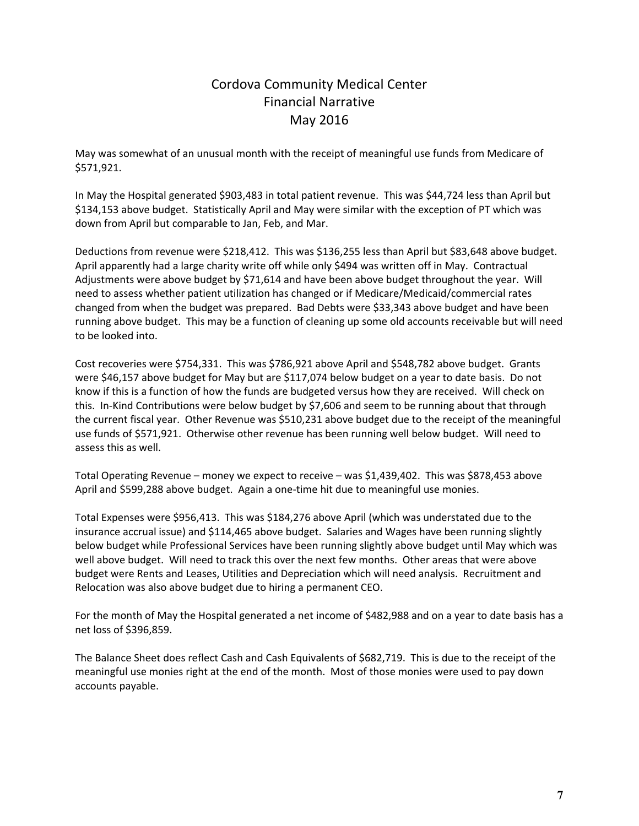# Cordova Community Medical Center Financial Narrative May 2016

May was somewhat of an unusual month with the receipt of meaningful use funds from Medicare of \$571,921.

In May the Hospital generated \$903,483 in total patient revenue. This was \$44,724 less than April but \$134,153 above budget. Statistically April and May were similar with the exception of PT which was down from April but comparable to Jan, Feb, and Mar.

Deductions from revenue were \$218,412. This was \$136,255 less than April but \$83,648 above budget. April apparently had a large charity write off while only \$494 was written off in May. Contractual Adjustments were above budget by \$71,614 and have been above budget throughout the year. Will need to assess whether patient utilization has changed or if Medicare/Medicaid/commercial rates changed from when the budget was prepared. Bad Debts were \$33,343 above budget and have been running above budget. This may be a function of cleaning up some old accounts receivable but will need to be looked into.

Cost recoveries were \$754,331. This was \$786,921 above April and \$548,782 above budget. Grants were \$46,157 above budget for May but are \$117,074 below budget on a year to date basis. Do not know if this is a function of how the funds are budgeted versus how they are received. Will check on this. In‐Kind Contributions were below budget by \$7,606 and seem to be running about that through the current fiscal year. Other Revenue was \$510,231 above budget due to the receipt of the meaningful use funds of \$571,921. Otherwise other revenue has been running well below budget. Will need to assess this as well.

Total Operating Revenue – money we expect to receive – was \$1,439,402. This was \$878,453 above April and \$599,288 above budget. Again a one‐time hit due to meaningful use monies.

Total Expenses were \$956,413. This was \$184,276 above April (which was understated due to the insurance accrual issue) and \$114,465 above budget. Salaries and Wages have been running slightly below budget while Professional Services have been running slightly above budget until May which was well above budget. Will need to track this over the next few months. Other areas that were above budget were Rents and Leases, Utilities and Depreciation which will need analysis. Recruitment and Relocation was also above budget due to hiring a permanent CEO.

For the month of May the Hospital generated a net income of \$482,988 and on a year to date basis has a net loss of \$396,859.

The Balance Sheet does reflect Cash and Cash Equivalents of \$682,719. This is due to the receipt of the meaningful use monies right at the end of the month. Most of those monies were used to pay down accounts payable.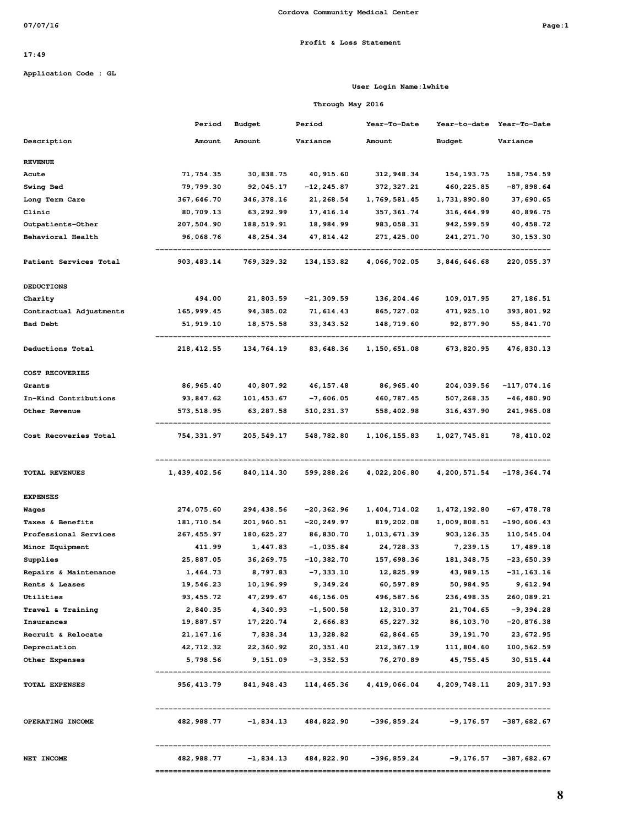#### **Profit & Loss Statement**

### **17:49**

**Application Code : GL**

#### **User Login Name:lwhite**

### **Through May 2016**

|                         | Period       | Budget      | Period        | Year-To-Date           | Year-to-date | Year-To-Date              |
|-------------------------|--------------|-------------|---------------|------------------------|--------------|---------------------------|
| Description             | Amount       | Amount      | Variance      | Amount                 | Budget       | Variance                  |
| <b>REVENUE</b>          |              |             |               |                        |              |                           |
| Acute                   | 71,754.35    | 30,838.75   | 40, 915.60    | 312,948.34             | 154,193.75   | 158,754.59                |
| <b>Swing Bed</b>        | 79,799.30    | 92,045.17   | $-12, 245.87$ | 372, 327.21            | 460,225.85   | $-87,898.64$              |
| Long Term Care          | 367,646.70   | 346,378.16  | 21, 268.54    | 1,769,581.45           | 1,731,890.80 | 37,690.65                 |
| Clinic                  | 80,709.13    | 63, 292.99  | 17, 416.14    | 357, 361.74            | 316, 464.99  | 40,896.75                 |
| Outpatients-Other       | 207,504.90   | 188,519.91  | 18,984.99     | 983,058.31             | 942, 599.59  | 40, 458.72                |
| Behavioral Health       | 96,068.76    | 48,254.34   | 47,814.42     | 271,425.00             | 241,271.70   | 30, 153.30                |
| Patient Services Total  | 903, 483.14  | 769,329.32  | 134, 153.82   | 4,066,702.05           | 3,846,646.68 | 220,055.37                |
| <b>DEDUCTIONS</b>       |              |             |               |                        |              |                           |
| Charity                 | 494.00       | 21,803.59   | $-21,309.59$  | 136,204.46             | 109,017.95   | 27, 186.51                |
| Contractual Adjustments | 165,999.45   | 94, 385.02  | 71, 614.43    | 865,727.02             | 471,925.10   | 393,801.92                |
| <b>Bad Debt</b>         | 51,919.10    | 18,575.58   | 33, 343.52    | 148,719.60             | 92,877.90    | 55,841.70                 |
| Deductions Total        | 218, 412.55  | 134,764.19  | 83,648.36     | 1,150,651.08           | 673,820.95   | 476,830.13                |
| COST RECOVERIES         |              |             |               |                        |              |                           |
| Grants                  | 86, 965.40   | 40,807.92   | 46, 157.48    | 86, 965.40             | 204,039.56   | $-117,074.16$             |
| In-Kind Contributions   | 93, 847.62   | 101, 453.67 | $-7,606.05$   | 460, 787.45            | 507,268.35   | $-46,480.90$              |
| Other Revenue           | 573,518.95   | 63, 287.58  | 510,231.37    | 558,402.98             | 316, 437.90  | 241,965.08                |
| Cost Recoveries Total   | 754,331.97   | 205,549.17  | 548,782.80    | 1,106,155.83           | 1,027,745.81 | 78,410.02                 |
| <b>TOTAL REVENUES</b>   | 1,439,402.56 | 840,114.30  | 599,288.26    | 4,022,206.80           | 4,200,571.54 | -178,364.74               |
| <b>EXPENSES</b>         |              |             |               |                        |              |                           |
| Wages                   | 274,075.60   | 294,438.56  | -20,362.96    | 1,404,714.02           | 1,472,192.80 | $-67,478.78$              |
| Taxes & Benefits        | 181,710.54   | 201,960.51  | -20,249.97    | 819,202.08             | 1,009,808.51 | $-190,606.43$             |
| Professional Services   | 267, 455.97  | 180,625.27  | 86,830.70     | 1,013,671.39           | 903, 126.35  | 110,545.04                |
| Minor Equipment         | 411.99       | 1,447.83    | $-1,035.84$   | 24,728.33              | 7,239.15     | 17,489.18                 |
| Supplies                | 25,887.05    | 36, 269.75  | $-10,382.70$  | 157,698.36             | 181,348.75   | $-23,650.39$              |
| Repairs & Maintenance   | 1,464.73     | 8,797.83    | $-7, 333.10$  | 12,825.99              | 43,989.15    | -31,163.16                |
| Rents & Leases          | 19,546.23    | 10,196.99   | 9,349.24      | 60,597.89              | 50,984.95    | 9,612.94                  |
| Utilities               | 93, 455.72   | 47,299.67   | 46, 156.05    | 496, 587.56            | 236, 498.35  | 260,089.21                |
| Travel & Training       | 2,840.35     | 4,340.93    | $-1,500.58$   | 12, 310.37             | 21,704.65    | $-9,394.28$               |
| Insurances              | 19,887.57    | 17,220.74   | 2,666.83      | 65, 227.32             | 86,103.70    | $-20,876.38$              |
| Recruit & Relocate      | 21, 167. 16  | 7,838.34    | 13,328.82     | 62,864.65              | 39,191.70    | 23, 672.95                |
| Depreciation            | 42,712.32    | 22,360.92   | 20, 351.40    | 212, 367.19            | 111,804.60   | 100,562.59                |
| Other Expenses          | 5,798.56     | 9,151.09    | -3, 352.53    | 76,270.89              | 45,755.45    | 30, 515.44                |
| <b>TOTAL EXPENSES</b>   | 956, 413.79  | 841, 948.43 | 114,465.36    | 4, 419, 066.04         | 4,209,748.11 | 209, 317.93               |
| OPERATING INCOME        | 482,988.77   | $-1,834.13$ |               | 484,822.90 -396,859.24 | -9,176.57    | $-387,682.67$             |
| NET INCOME              | 482,988.77   | $-1,834.13$ |               | 484,822.90 -396,859.24 |              | $-9,176.57$ $-387,682.67$ |
|                         |              |             |               |                        |              |                           |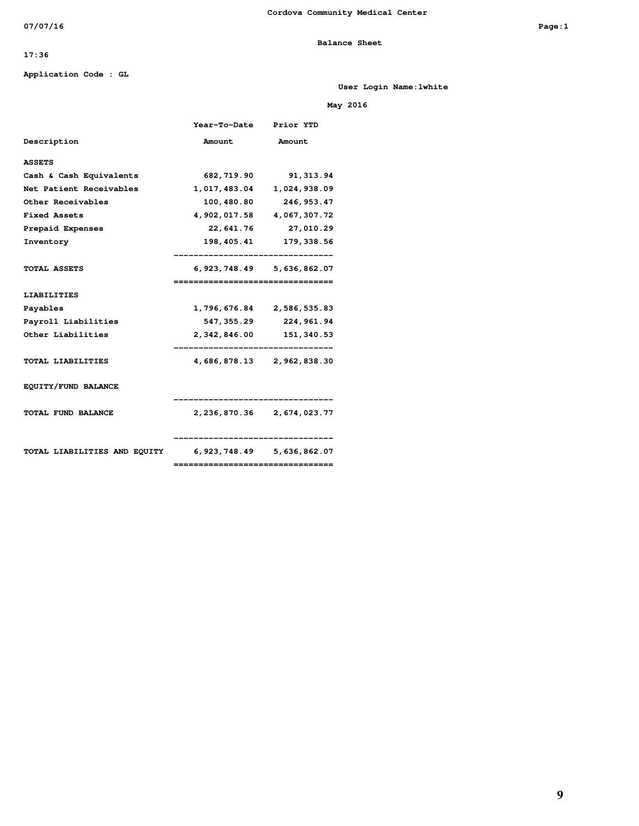### **Balance Sheet**

### **17:36**

#### **Application Code : GL**

**User Login Name:lwhite**

### **May 2016**

|                                                        | <b>Year-To-Date</b>               | Prior YTD                     |
|--------------------------------------------------------|-----------------------------------|-------------------------------|
| Description                                            | Amount                            | Amount                        |
| <b>ASSETS</b>                                          |                                   |                               |
| Cash & Cash Equivalents                                |                                   | 682, 719.90 91, 313.94        |
| Net Patient Receivables                                |                                   | 1,017,483.04 1,024,938.09     |
| Other Receivables                                      | 100,480.80                        | 246,953.47                    |
| <b>Fixed Assets</b>                                    |                                   | 4,902,017.58 4,067,307.72     |
| Prepaid Expenses                                       |                                   | 22,641.76 27,010.29           |
| Inventory                                              |                                   | 198, 405. 41 179, 338. 56     |
| <b>TOTAL ASSETS</b>                                    | --------------------------------- | 6, 923, 748.49 5, 636, 862.07 |
| <b>LIABILITIES</b>                                     |                                   |                               |
| Payables                                               |                                   | 1,796,676.84 2,586,535.83     |
| Payroll Liabilities                                    |                                   | 547, 355.29 224, 961.94       |
| Other Liabilities                                      |                                   | 2, 342, 846.00 151, 340.53    |
| <b>TOTAL LIABILITIES</b>                               |                                   | 4,686,878.13 2,962,838.30     |
| EQUITY/FUND BALANCE                                    |                                   | ----------------------        |
| <b>TOTAL FUND BALANCE</b>                              |                                   | 2, 236, 870.36 2, 674, 023.77 |
| TOTAL LIABILITIES AND EQUITY 6,923,748.49 5,636,862.07 | ================================= | -----------------------       |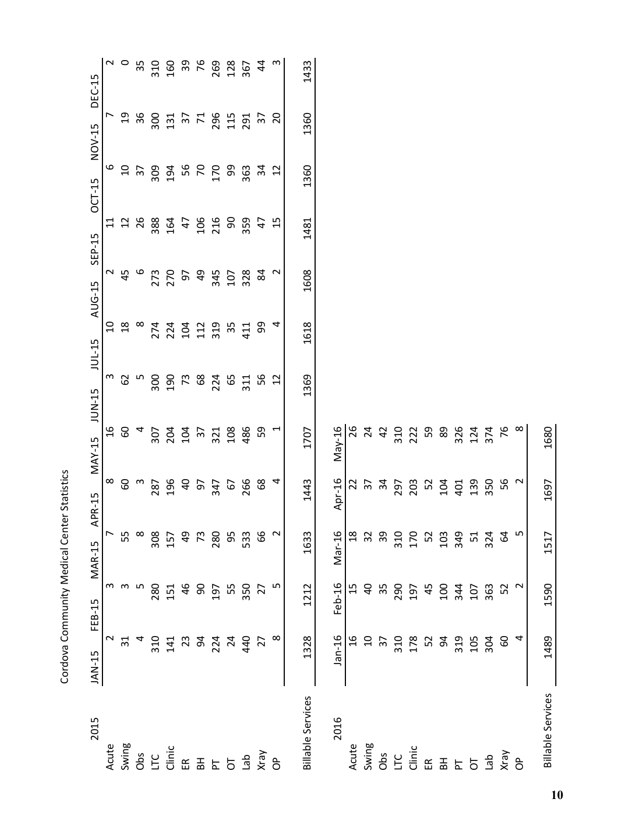| 2015                     | JAN-15          | FEB-15          | <b>MAR-15</b>    | APR-15                | $MAX-15$        | JUN-15         | <b>JUL-15</b>  | AUG-15 | SEP-15                                | <b>OCT-15</b>   | NOV-15                                  | DEC-15         |
|--------------------------|-----------------|-----------------|------------------|-----------------------|-----------------|----------------|----------------|--------|---------------------------------------|-----------------|-----------------------------------------|----------------|
| Acute                    | $\sim$          | m               |                  | $\infty$              | $\frac{6}{1}$   | m              | $\overline{a}$ | $\sim$ | $\Xi$                                 | م               | L                                       |                |
| Swing                    | 31              | m               | 55               | $\mbox{6}$            | $60\,$          | 62             | $^{28}$        | 45     |                                       | $\overline{c}$  |                                         | $\sim$ $\circ$ |
| Obs                      |                 | ഗ               | $\infty$         | $\boldsymbol{\infty}$ | 4               | LŊ             | $\infty$       | 6      | $\begin{array}{c} 2 \\ 2 \end{array}$ | $\overline{37}$ | $\begin{array}{c} 26 \\ 36 \end{array}$ | 35             |
| LC                       | 310             | 280             | 308              | 287                   | 307             | 300            | 274            | 273    | 388                                   | 309             | 300                                     | 310            |
| Clinic                   | 141             | 151             | 157              | 196                   |                 | 190            | 224            | 270    | 164                                   | 194             | 131                                     | 160            |
| $\widetilde{\mathbb{E}}$ | 23              | 46              | $\overline{q}$   | $\overline{a}$        | 204<br>104      | $\mathfrak{L}$ | 104            | 60     | $\overline{4}$                        | 56              |                                         | 39             |
| 폾                        | 54              | 90              | 73               | 57                    | $\overline{37}$ | $68\,$         | 112            | 49     | 106                                   | $\mathcal{L}$   | $37$<br>71                              | 76             |
|                          | 224             | 197             | 280              | 347                   | 321<br>108      | 224            | 319            | 345    | 216                                   | 170             | 296                                     | 269            |
| F<br>5                   | $\overline{24}$ | 55              | 95               | 67                    |                 | 65             | 35             | 107    | 90                                    | 99              | 115                                     | 128            |
| del                      | 440             | 350             | 533              | 266                   | 486             | 311            | 411            | 328    | 359                                   | 363             | 291                                     | 367            |
|                          | $\overline{2}$  | 27              | 99               | 68                    | 59              | 56             | 99             | 84     | $\overline{4}$                        | 34              | $\overline{\epsilon}$                   | $\overline{4}$ |
| Vray<br>OP               |                 | LO,             | $\sim$           | 4                     | $\overline{ }$  | 12             | 4              | $\sim$ | 15                                    | 12              | 20                                      | $\mathsf{c}$   |
| <b>Billable Services</b> | 1328            | 1212            | 1633             | 1443                  | 1707            | 1369           | 1618           | 1608   | 1481                                  | 1360            | 1360                                    | 1433           |
| 2016                     | $Jan-16$        | Feb-16          | Mar-16           | Apr-16                | May-16          |                |                |        |                                       |                 |                                         |                |
| Acute                    | $\frac{6}{1}$   | 15              | $^{28}$          | $\overline{2}$        | 26              |                |                |        |                                       |                 |                                         |                |
| Swing                    | $\overline{c}$  | $\overline{a}$  | 32               | $\overline{37}$       |                 |                |                |        |                                       |                 |                                         |                |
| Obs                      | $\overline{3}$  | 35              | 39               | $\mathfrak{F}$        | $24$<br>42      |                |                |        |                                       |                 |                                         |                |
| LTC                      | 310             | 290             |                  | 297                   |                 |                |                |        |                                       |                 |                                         |                |
| Clinic                   | 178             | 197             | 310<br>170       | 203                   | 310<br>222      |                |                |        |                                       |                 |                                         |                |
| $\widetilde{\mathbb{E}}$ | 52              | 45              | 52<br>103<br>349 | 52                    | 59              |                |                |        |                                       |                 |                                         |                |
| $\Xi$                    | 54              | 100             |                  | 104                   | 89              |                |                |        |                                       |                 |                                         |                |
|                          | 319             | 344             |                  | 401                   | 326             |                |                |        |                                       |                 |                                         |                |
| $5\overline{5}$          | 105             | 107             | 51               | 139                   | 124             |                |                |        |                                       |                 |                                         |                |
| ap<br>Xray<br>OP         | 304             | 363             | 324              | 350                   | 374             |                |                |        |                                       |                 |                                         |                |
|                          | ငွ              | 52              | 54               | 56                    | 76              |                |                |        |                                       |                 |                                         |                |
|                          | 4               | $\mathbf{\sim}$ | ഥ                | $\mathbf 2$           | $\infty$        |                |                |        |                                       |                 |                                         |                |
| <b>Billable Services</b> | 1489            | 1590            | 1517             | 1697                  | 1680            |                |                |        |                                       |                 |                                         |                |

Cordova Community Medical Center Statistics

Cordova Community Medical Center Statistics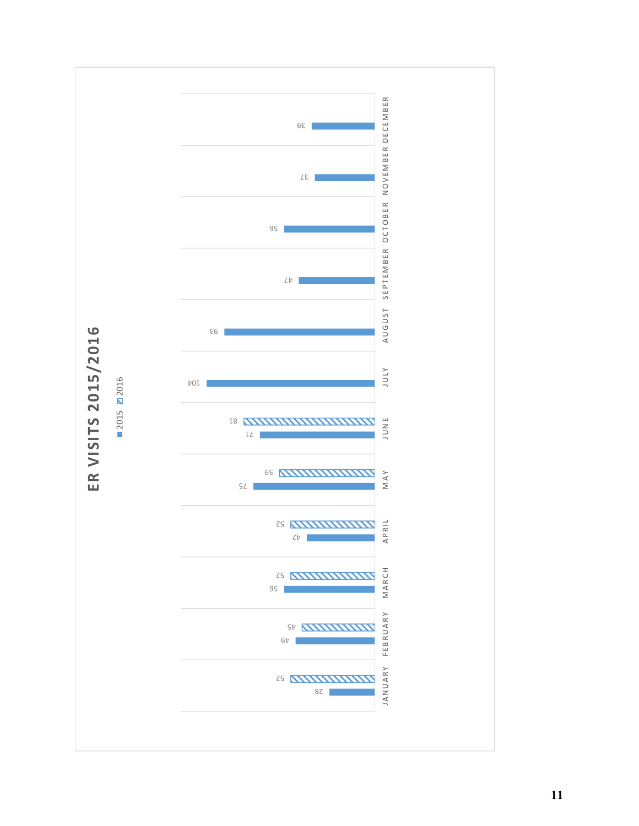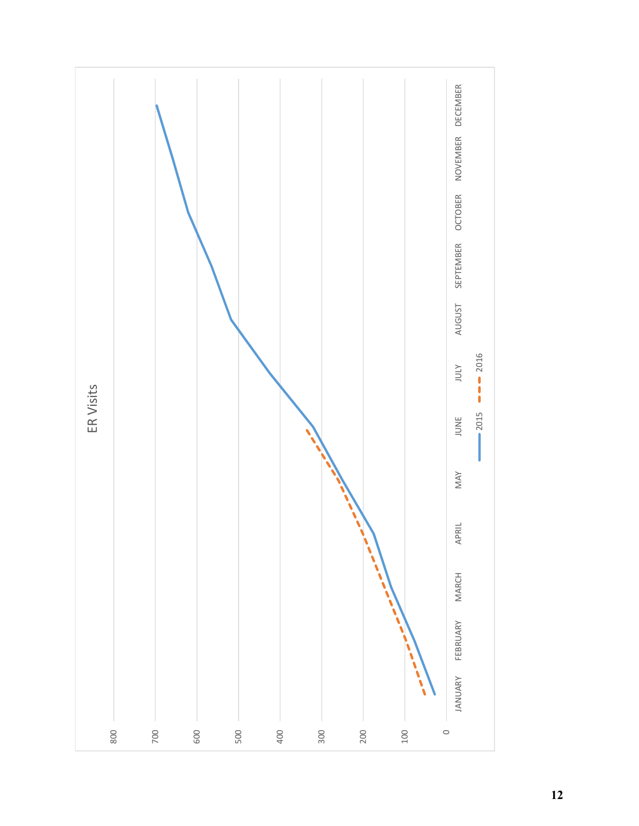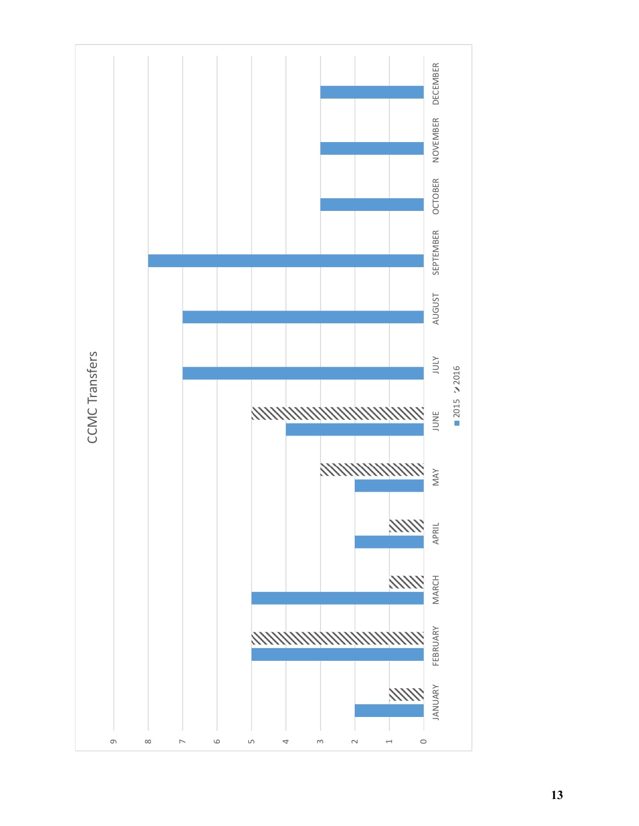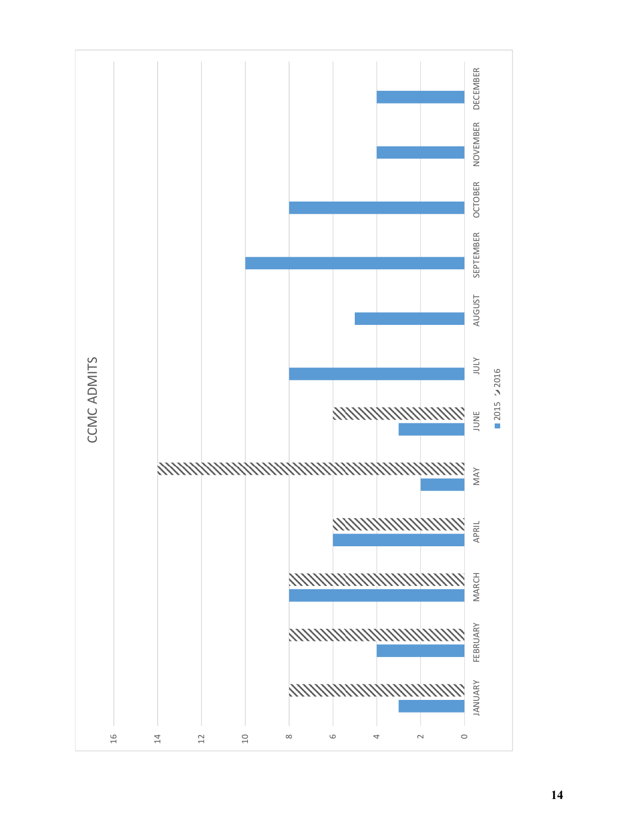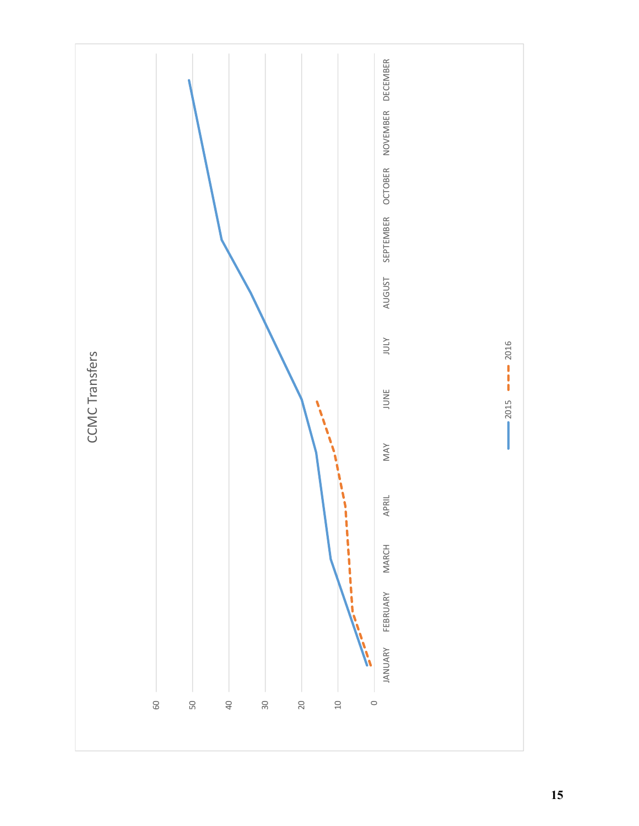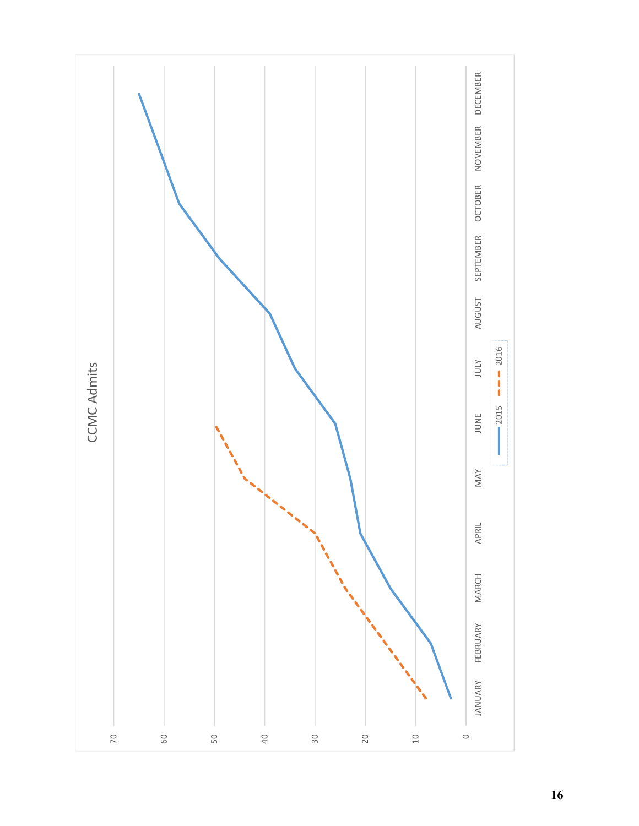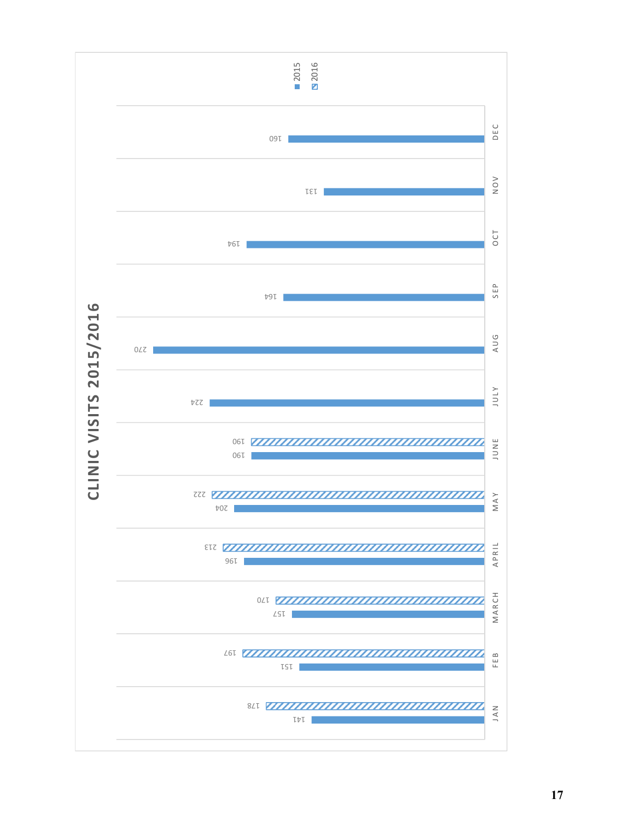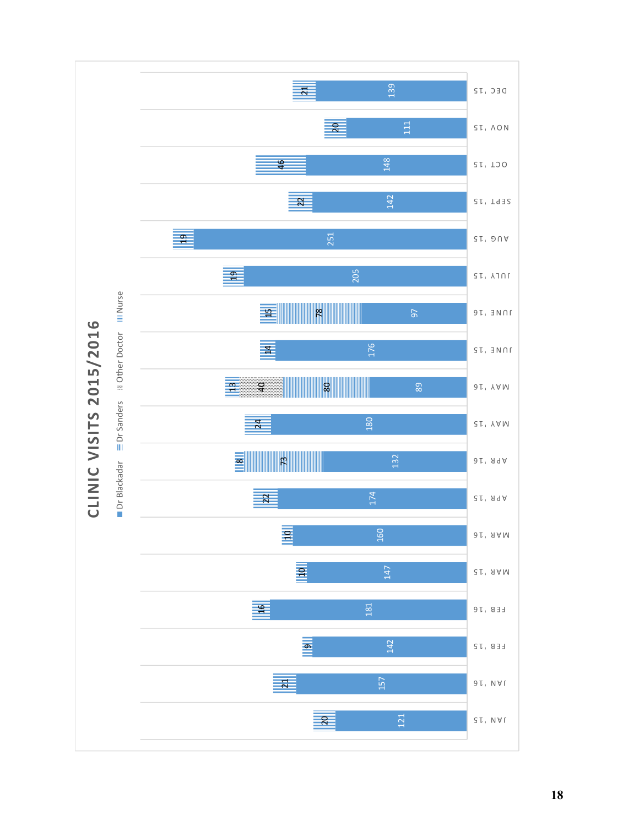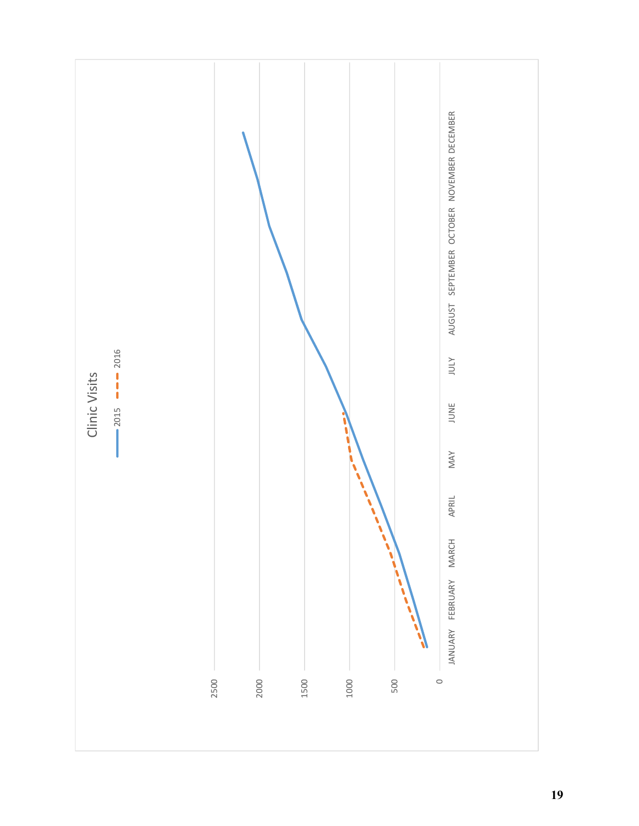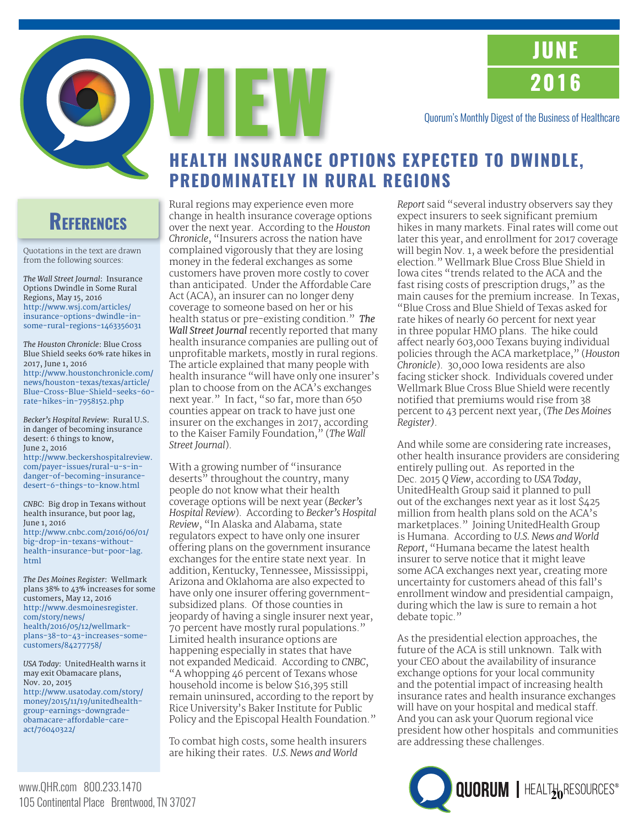**JUNE 2016**

Quorum's Monthly Digest of the Business of Healthcare

# **HEALTH INSURANCE OPTIONS EXPECTED TO DWINDLE, PREDOMINATELY IN RURAL REGIONS**

# **REFERENCES**

Quotations in the text are drawn from the following sources:

*The Wall Street Journal*: Insurance Options Dwindle in Some Rural Regions, May 15, 2016 http://www.wsj.com/articles/ insurance-options-dwindle-in[some-rural-regions-1463356031](http://www.wsj.com/articles/insurance-options-dwindle-in-some-rural-regions-1463356031) 

*The Houston Chronicle*: Blue Cross Blue Shield seeks 60% rate hikes in 2017, June 1, 2016 http://www.houstonchronicle.com/ news/houston-texas/texas/article/ [Blue-Cross-Blue-Shield-seeks-60](http://www.houstonchronicle.com/news/houston-texas/texas/article/Blue-Cross-Blue-Shield-seeks-60-rate-hikes-in-7958152.php) rate-hikes-in-7958152.php

*Becker's Hospital Review*: Rural U.S. in danger of becoming insurance desert: 6 things to know, June 2, 2016

[http://www.beckershospitalreview.](http://www.beckershospitalreview.com/payer-issues/rural-u-s-in-danger-of-becoming-insurance-desert-6-things-to-know.html) com/payer-issues/rural-u-s-indanger-of-becoming-insurancedesert-6-things-to-know.html

*CNBC*: Big drop in Texans without health insurance, but poor lag, June 1, 2016 [http://www.cnbc.com/2016/06/01/](http://www.cnbc.com/2016/06/01/big-drop-in-texans-without-health-insurance-but-poor-lag.html) big-drop-in-texans-withouthealth-insurance-but-poor-lag. html

*The Des Moines Register*: Wellmark plans 38% to 43% increases for some customers, May 12, 2016 http://www.desmoinesregister. com/story/news/ health/2016/05/12/wellmark[plans-38-to-43-increases-some](http://www.desmoinesregister.com/story/news/health/2016/05/12/wellmark-plans-38-to-43-increases-some-customers/84277758/)customers/84277758/

*USA Today*: UnitedHealth warns it may exit Obamacare plans, Nov. 20, 2015 [http://www.usatoday.com/story/](http://www.usatoday.com/story/money/2015/11/19/unitedhealth-group-earnings-downgrade-obamacare-affordable-care-act/76040322/) money/2015/11/19/unitedhealthgroup-earnings-downgradeobamacare-affordable-careact/76040322/

Rural regions may experience even more change in health insurance coverage options over the next year. According to the *Houston Chronicle*, "Insurers across the nation have complained vigorously that they are losing money in the federal exchanges as some customers have proven more costly to cover than anticipated. Under the Affordable Care Act (ACA), an insurer can no longer deny coverage to someone based on her or his health status or pre-existing condition." *The Wall Street Journal* recently reported that many health insurance companies are pulling out of unprofitable markets, mostly in rural regions. The article explained that many people with health insurance "will have only one insurer's plan to choose from on the ACA's exchanges next year." In fact, "so far, more than 650 counties appear on track to have just one insurer on the exchanges in 2017, according to the Kaiser Family Foundation," (*The Wall Street Journal*).

VIEW

With a growing number of "insurance deserts" throughout the country, many people do not know what their health coverage options will be next year (*Becker's Hospital Review*). According to *Becker's Hospital Review*, "In Alaska and Alabama, state regulators expect to have only one insurer offering plans on the government insurance exchanges for the entire state next year. In addition, Kentucky, Tennessee, Mississippi, Arizona and Oklahoma are also expected to have only one insurer offering governmentsubsidized plans. Of those counties in jeopardy of having a single insurer next year, 70 percent have mostly rural populations." Limited health insurance options are happening especially in states that have not expanded Medicaid. According to *CNBC*, "A whopping 46 percent of Texans whose household income is below \$16,395 still remain uninsured, according to the report by Rice University's Baker Institute for Public Policy and the Episcopal Health Foundation."

To combat high costs, some health insurers are hiking their rates. *U.S. News and World* 

*Report* said "several industry observers say they expect insurers to seek significant premium hikes in many markets. Final rates will come out later this year, and enrollment for 2017 coverage will begin Nov. 1, a week before the presidential election." Wellmark Blue Cross Blue Shield in Iowa cites "trends related to the ACA and the fast rising costs of prescription drugs," as the main causes for the premium increase. In Texas, "Blue Cross and Blue Shield of Texas asked for rate hikes of nearly 60 percent for next year in three popular HMO plans. The hike could affect nearly 603,000 Texans buying individual policies through the ACA marketplace," (*Houston Chronicle*). 30,000 Iowa residents are also facing sticker shock. Individuals covered under Wellmark Blue Cross Blue Shield were recently notified that premiums would rise from 38 percent to 43 percent next year, (*The Des Moines Register)*.

And while some are considering rate increases, other health insurance providers are considering entirely pulling out. As reported in the Dec. 2015 *Q View*, according to *USA Today*, UnitedHealth Group said it planned to pull out of the exchanges next year as it lost \$425 million from health plans sold on the ACA's marketplaces." Joining UnitedHealth Group is Humana. According to *U.S. News and World Report*, "Humana became the latest health insurer to serve notice that it might leave some ACA exchanges next year, creating more uncertainty for customers ahead of this fall's enrollment window and presidential campaign, during which the law is sure to remain a hot debate topic."

As the presidential election approaches, the future of the ACA is still unknown. Talk with your CEO about the availability of insurance exchange options for your local community and the potential impact of increasing health insurance rates and health insurance exchanges will have on your hospital and medical staff. And you can ask your Quorum regional vice president how other hospitals and communities are addressing these challenges.

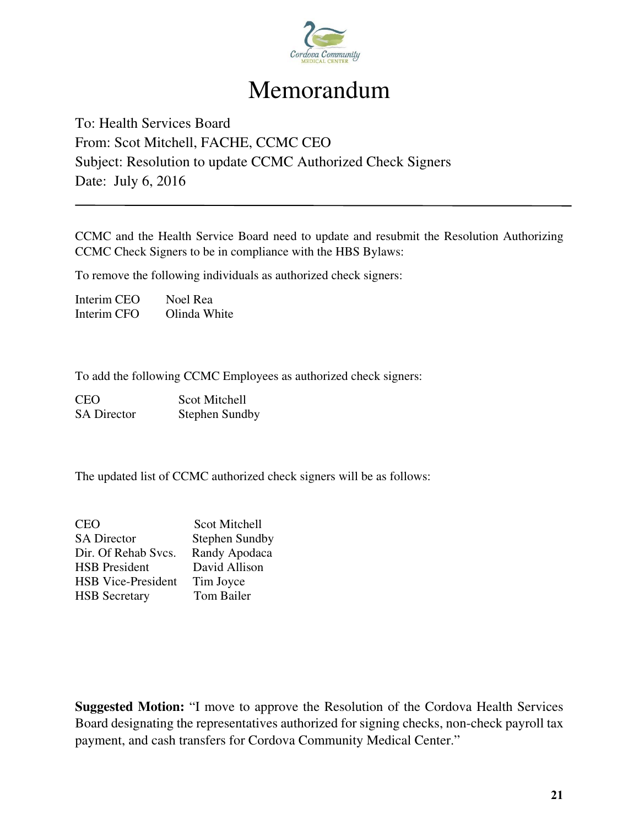

# Memorandum

# To: Health Services Board From: Scot Mitchell, FACHE, CCMC CEO Subject: Resolution to update CCMC Authorized Check Signers Date: July 6, 2016

CCMC and the Health Service Board need to update and resubmit the Resolution Authorizing CCMC Check Signers to be in compliance with the HBS Bylaws:

To remove the following individuals as authorized check signers:

Interim CEO Noel Rea Interim CFO Olinda White

To add the following CCMC Employees as authorized check signers:

CEO Scot Mitchell SA Director Stephen Sundby

The updated list of CCMC authorized check signers will be as follows:

| <b>CEO</b>                | Scot Mitchell         |
|---------------------------|-----------------------|
| <b>SA Director</b>        | <b>Stephen Sundby</b> |
| Dir. Of Rehab Svcs.       | Randy Apodaca         |
| <b>HSB</b> President      | David Allison         |
| <b>HSB</b> Vice-President | Tim Joyce             |
| <b>HSB</b> Secretary      | Tom Bailer            |

**Suggested Motion:** "I move to approve the Resolution of the Cordova Health Services Board designating the representatives authorized for signing checks, non-check payroll tax payment, and cash transfers for Cordova Community Medical Center."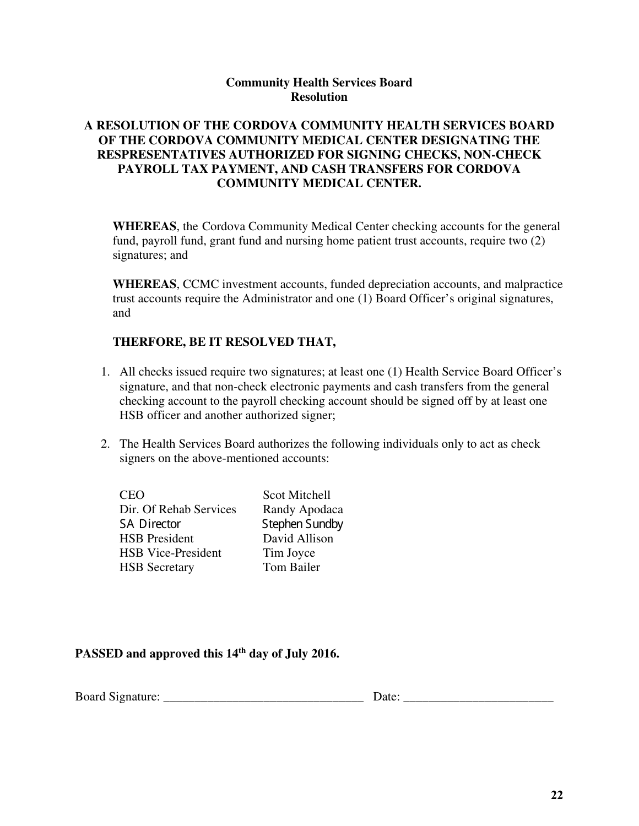### **Community Health Services Board Resolution**

### **A RESOLUTION OF THE CORDOVA COMMUNITY HEALTH SERVICES BOARD OF THE CORDOVA COMMUNITY MEDICAL CENTER DESIGNATING THE RESPRESENTATIVES AUTHORIZED FOR SIGNING CHECKS, NON-CHECK PAYROLL TAX PAYMENT, AND CASH TRANSFERS FOR CORDOVA COMMUNITY MEDICAL CENTER.**

**WHEREAS**, the Cordova Community Medical Center checking accounts for the general fund, payroll fund, grant fund and nursing home patient trust accounts, require two (2) signatures; and

**WHEREAS**, CCMC investment accounts, funded depreciation accounts, and malpractice trust accounts require the Administrator and one (1) Board Officer's original signatures, and

### **THERFORE, BE IT RESOLVED THAT,**

- 1. All checks issued require two signatures; at least one (1) Health Service Board Officer's signature, and that non-check electronic payments and cash transfers from the general checking account to the payroll checking account should be signed off by at least one HSB officer and another authorized signer;
- 2. The Health Services Board authorizes the following individuals only to act as check signers on the above-mentioned accounts:

CEO Scot Mitchell Dir. Of Rehab Services Randy Apodaca SA Director Stephen Sundby HSB President David Allison HSB Vice-President Tim Joyce HSB Secretary Tom Bailer

### **PASSED and approved this 14th day of July 2016.**

| <b>Board</b><br>$\sim$<br>,,, |  |
|-------------------------------|--|
|-------------------------------|--|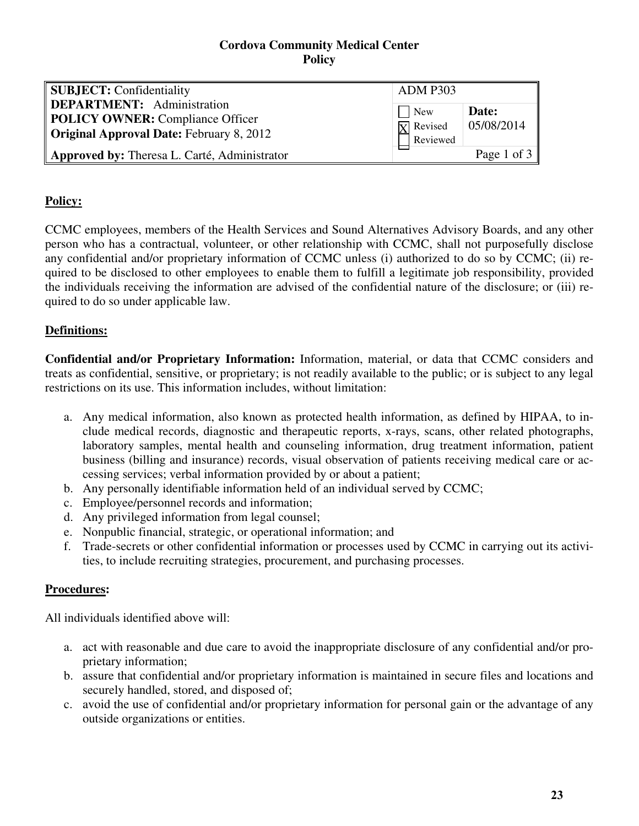| <b>SUBJECT:</b> Confidentiality                                                                                                 | <b>ADM P303</b>                                          |                      |
|---------------------------------------------------------------------------------------------------------------------------------|----------------------------------------------------------|----------------------|
| <b>DEPARTMENT:</b> Administration<br><b>POLICY OWNER:</b> Compliance Officer<br><b>Original Approval Date: February 8, 2012</b> | $\blacksquare$ New<br>$\overline{X}$ Revised<br>Reviewed | Date:<br> 05/08/2014 |
| Approved by: Theresa L. Carté, Administrator                                                                                    |                                                          | Page 1 of $3$        |

# **Policy:**

CCMC employees, members of the Health Services and Sound Alternatives Advisory Boards, and any other person who has a contractual, volunteer, or other relationship with CCMC, shall not purposefully disclose any confidential and/or proprietary information of CCMC unless (i) authorized to do so by CCMC; (ii) required to be disclosed to other employees to enable them to fulfill a legitimate job responsibility, provided the individuals receiving the information are advised of the confidential nature of the disclosure; or (iii) required to do so under applicable law.

# **Definitions:**

**Confidential and/or Proprietary Information:** Information, material, or data that CCMC considers and treats as confidential, sensitive, or proprietary; is not readily available to the public; or is subject to any legal restrictions on its use. This information includes, without limitation:

- a. Any medical information, also known as protected health information, as defined by HIPAA, to include medical records, diagnostic and therapeutic reports, x-rays, scans, other related photographs, laboratory samples, mental health and counseling information, drug treatment information, patient business (billing and insurance) records, visual observation of patients receiving medical care or accessing services; verbal information provided by or about a patient;
- b. Any personally identifiable information held of an individual served by CCMC;
- c. Employee/personnel records and information;
- d. Any privileged information from legal counsel;
- e. Nonpublic financial, strategic, or operational information; and
- f. Trade-secrets or other confidential information or processes used by CCMC in carrying out its activities, to include recruiting strategies, procurement, and purchasing processes.

## **Procedures:**

All individuals identified above will:

- a. act with reasonable and due care to avoid the inappropriate disclosure of any confidential and/or proprietary information;
- b. assure that confidential and/or proprietary information is maintained in secure files and locations and securely handled, stored, and disposed of;
- c. avoid the use of confidential and/or proprietary information for personal gain or the advantage of any outside organizations or entities.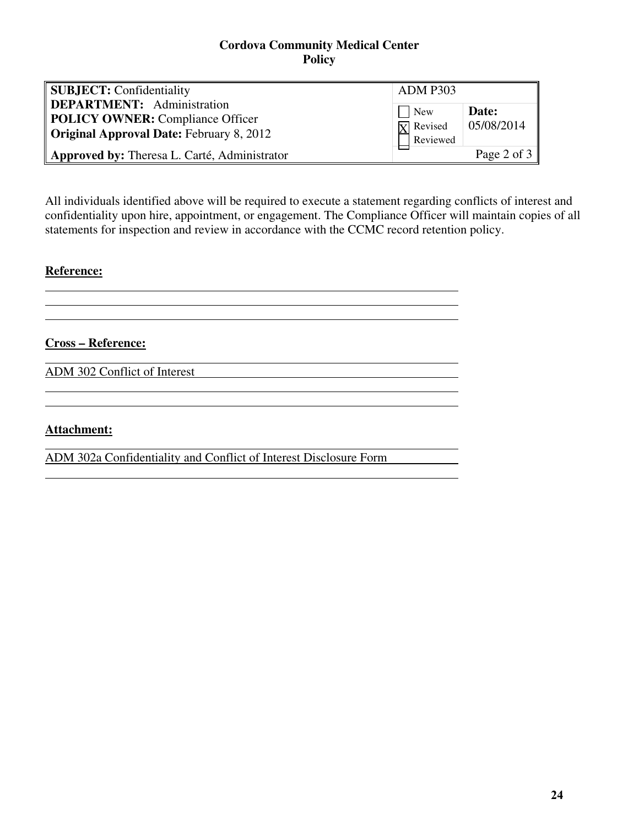| <b>SUBJECT:</b> Confidentiality                                                                                                 | <b>ADM P303</b>                                  |                      |
|---------------------------------------------------------------------------------------------------------------------------------|--------------------------------------------------|----------------------|
| <b>DEPARTMENT:</b> Administration<br><b>POLICY OWNER:</b> Compliance Officer<br><b>Original Approval Date: February 8, 2012</b> | <b>New</b><br>$\overline{X}$ Revised<br>Reviewed | Date:<br> 05/08/2014 |
| Approved by: Theresa L. Carté, Administrator                                                                                    |                                                  | Page 2 of $3$        |

All individuals identified above will be required to execute a statement regarding conflicts of interest and confidentiality upon hire, appointment, or engagement. The Compliance Officer will maintain copies of all statements for inspection and review in accordance with the CCMC record retention policy.

## **Reference:**

 $\overline{a}$ 

 $\overline{a}$ 

**Cross – Reference:** 

ADM 302 Conflict of Interest

## **Attachment:**

ADM 302a Confidentiality and Conflict of Interest Disclosure Form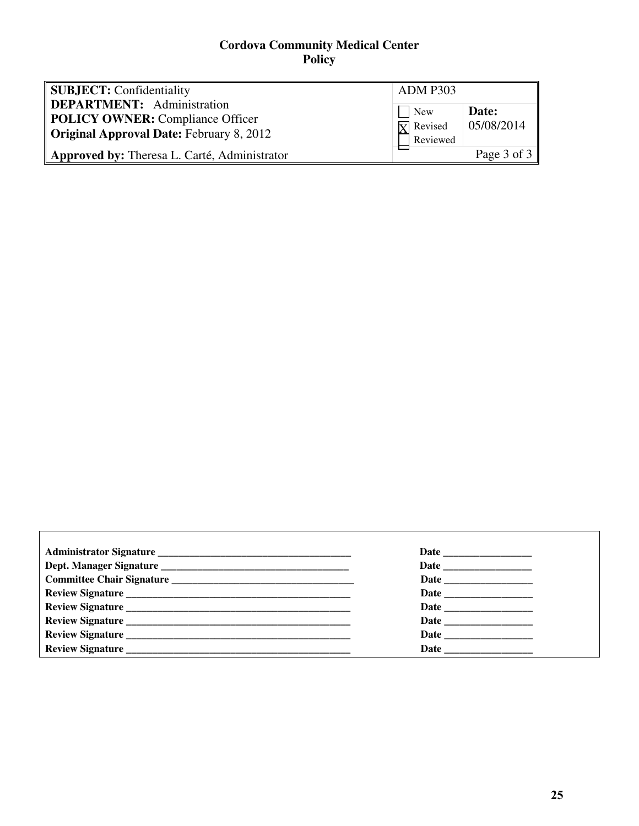| <b>SUBJECT:</b> Confidentiality                                                                                                 | <b>ADM P303</b>                                          |                      |
|---------------------------------------------------------------------------------------------------------------------------------|----------------------------------------------------------|----------------------|
| <b>DEPARTMENT:</b> Administration<br><b>POLICY OWNER:</b> Compliance Officer<br><b>Original Approval Date: February 8, 2012</b> | $\blacksquare$ New<br>$\overline{X}$ Revised<br>Reviewed | Date:<br> 05/08/2014 |
| Approved by: Theresa L. Carté, Administrator                                                                                    |                                                          | Page 3 of $3$        |

| Date                     |
|--------------------------|
|                          |
| Review Signature         |
| Review Signature<br>Date |
|                          |
|                          |

 $\overline{\Gamma}$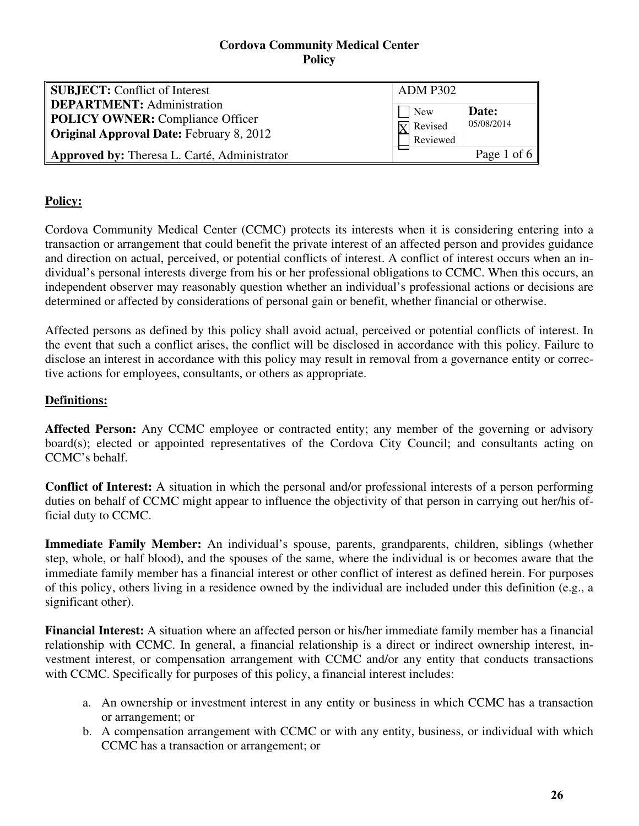| <b>SUBJECT:</b> Conflict of Interest<br><b>ADM P302</b><br><b>DEPARTMENT:</b> Administration<br>$\Box$ New<br>Date:<br><b>POLICY OWNER:</b> Compliance Officer<br>05/08/2014 |                        |
|------------------------------------------------------------------------------------------------------------------------------------------------------------------------------|------------------------|
|                                                                                                                                                                              |                        |
|                                                                                                                                                                              | $\overline{X}$ Revised |
| <b>Original Approval Date: February 8, 2012</b><br>Reviewed<br>Approved by: Theresa L. Carté, Administrator                                                                  | Page 1 of 6            |

# **Policy:**

Cordova Community Medical Center (CCMC) protects its interests when it is considering entering into a transaction or arrangement that could benefit the private interest of an affected person and provides guidance and direction on actual, perceived, or potential conflicts of interest. A conflict of interest occurs when an individual's personal interests diverge from his or her professional obligations to CCMC. When this occurs, an independent observer may reasonably question whether an individual's professional actions or decisions are determined or affected by considerations of personal gain or benefit, whether financial or otherwise.

Affected persons as defined by this policy shall avoid actual, perceived or potential conflicts of interest. In the event that such a conflict arises, the conflict will be disclosed in accordance with this policy. Failure to disclose an interest in accordance with this policy may result in removal from a governance entity or corrective actions for employees, consultants, or others as appropriate.

# **Definitions:**

Affected Person: Any CCMC employee or contracted entity; any member of the governing or advisory board(s); elected or appointed representatives of the Cordova City Council; and consultants acting on CCMC's behalf.

**Conflict of Interest:** A situation in which the personal and/or professional interests of a person performing duties on behalf of CCMC might appear to influence the objectivity of that person in carrying out her/his official duty to CCMC.

**Immediate Family Member:** An individual's spouse, parents, grandparents, children, siblings (whether step, whole, or half blood), and the spouses of the same, where the individual is or becomes aware that the immediate family member has a financial interest or other conflict of interest as defined herein. For purposes of this policy, others living in a residence owned by the individual are included under this definition (e.g., a significant other).

**Financial Interest:** A situation where an affected person or his/her immediate family member has a financial relationship with CCMC. In general, a financial relationship is a direct or indirect ownership interest, investment interest, or compensation arrangement with CCMC and/or any entity that conducts transactions with CCMC. Specifically for purposes of this policy, a financial interest includes:

- a. An ownership or investment interest in any entity or business in which CCMC has a transaction or arrangement; or
- b. A compensation arrangement with CCMC or with any entity, business, or individual with which CCMC has a transaction or arrangement; or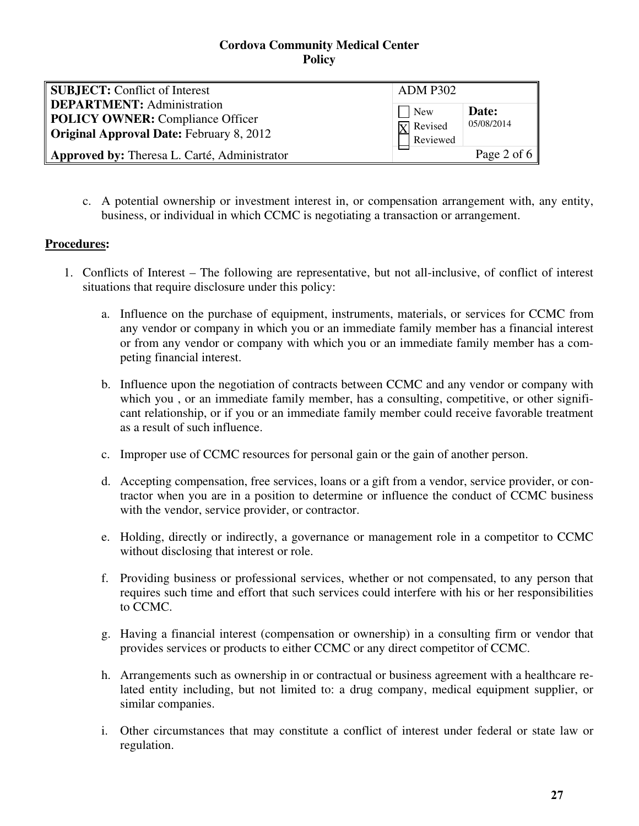| <b>SUBJECT:</b> Conflict of Interest                                                                                            | <b>ADM P302</b>                                           |                     |
|---------------------------------------------------------------------------------------------------------------------------------|-----------------------------------------------------------|---------------------|
| <b>DEPARTMENT:</b> Administration<br><b>POLICY OWNER:</b> Compliance Officer<br><b>Original Approval Date: February 8, 2012</b> | <b>New</b><br>$\overline{\mathbf{Y}}$ Revised<br>Reviewed | Date:<br>05/08/2014 |
| Approved by: Theresa L. Carté, Administrator                                                                                    |                                                           | Page 2 of 6         |

c. A potential ownership or investment interest in, or compensation arrangement with, any entity, business, or individual in which CCMC is negotiating a transaction or arrangement.

# **Procedures:**

- 1. Conflicts of Interest The following are representative, but not all-inclusive, of conflict of interest situations that require disclosure under this policy:
	- a. Influence on the purchase of equipment, instruments, materials, or services for CCMC from any vendor or company in which you or an immediate family member has a financial interest or from any vendor or company with which you or an immediate family member has a competing financial interest.
	- b. Influence upon the negotiation of contracts between CCMC and any vendor or company with which you, or an immediate family member, has a consulting, competitive, or other significant relationship, or if you or an immediate family member could receive favorable treatment as a result of such influence.
	- c. Improper use of CCMC resources for personal gain or the gain of another person.
	- d. Accepting compensation, free services, loans or a gift from a vendor, service provider, or contractor when you are in a position to determine or influence the conduct of CCMC business with the vendor, service provider, or contractor.
	- e. Holding, directly or indirectly, a governance or management role in a competitor to CCMC without disclosing that interest or role.
	- f. Providing business or professional services, whether or not compensated, to any person that requires such time and effort that such services could interfere with his or her responsibilities to CCMC.
	- g. Having a financial interest (compensation or ownership) in a consulting firm or vendor that provides services or products to either CCMC or any direct competitor of CCMC.
	- h. Arrangements such as ownership in or contractual or business agreement with a healthcare related entity including, but not limited to: a drug company, medical equipment supplier, or similar companies.
	- i. Other circumstances that may constitute a conflict of interest under federal or state law or regulation.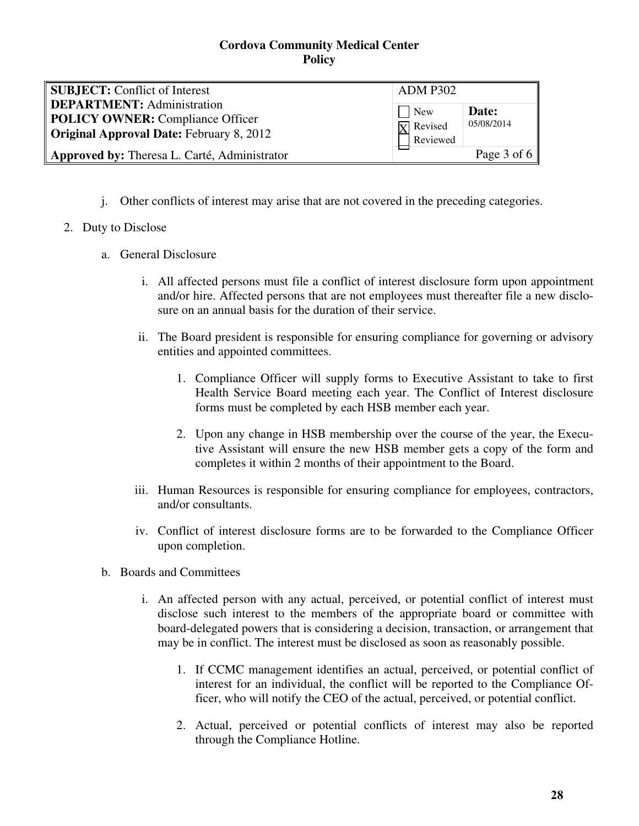| <b>SUBJECT:</b> Conflict of Interest                                                                                                                                     | <b>ADM P302</b>                      |                     |
|--------------------------------------------------------------------------------------------------------------------------------------------------------------------------|--------------------------------------|---------------------|
| <b>DEPARTMENT:</b> Administration<br>POLICY OWNER: Compliance Officer<br><b>Original Approval Date: February 8, 2012</b><br>Approved by: Theresa L. Carté, Administrator | $\log$ New<br>$\overline{X}$ Revised | Date:<br>05/08/2014 |
|                                                                                                                                                                          | Reviewed                             | Page 3 of 6         |

j. Other conflicts of interest may arise that are not covered in the preceding categories.

### 2. Duty to Disclose

- a. General Disclosure
	- i. All affected persons must file a conflict of interest disclosure form upon appointment and/or hire. Affected persons that are not employees must thereafter file a new disclosure on an annual basis for the duration of their service.
	- ii. The Board president is responsible for ensuring compliance for governing or advisory entities and appointed committees.
		- 1. Compliance Officer will supply forms to Executive Assistant to take to first Health Service Board meeting each year. The Conflict of Interest disclosure forms must be completed by each HSB member each year.
		- 2. Upon any change in HSB membership over the course of the year, the Executive Assistant will ensure the new HSB member gets a copy of the form and completes it within 2 months of their appointment to the Board.
	- iii. Human Resources is responsible for ensuring compliance for employees, contractors, and/or consultants.
	- iv. Conflict of interest disclosure forms are to be forwarded to the Compliance Officer upon completion.
- b. Boards and Committees
	- i. An affected person with any actual, perceived, or potential conflict of interest must disclose such interest to the members of the appropriate board or committee with board-delegated powers that is considering a decision, transaction, or arrangement that may be in conflict. The interest must be disclosed as soon as reasonably possible.
		- 1. If CCMC management identifies an actual, perceived, or potential conflict of interest for an individual, the conflict will be reported to the Compliance Officer, who will notify the CEO of the actual, perceived, or potential conflict.
		- 2. Actual, perceived or potential conflicts of interest may also be reported through the Compliance Hotline.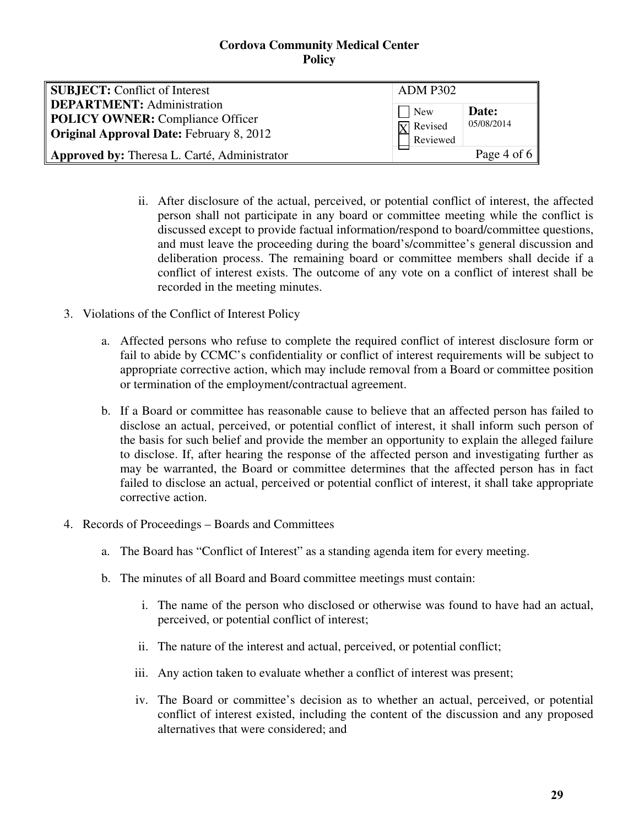| <b>SUBJECT:</b> Conflict of Interest                                                                                            | <b>ADM P302</b>                                  |                     |
|---------------------------------------------------------------------------------------------------------------------------------|--------------------------------------------------|---------------------|
| <b>DEPARTMENT:</b> Administration<br><b>POLICY OWNER:</b> Compliance Officer<br><b>Original Approval Date: February 8, 2012</b> | <b>New</b><br>$\overline{X}$ Revised<br>Reviewed | Date:<br>05/08/2014 |
| Approved by: Theresa L. Carté, Administrator                                                                                    |                                                  | Page 4 of 6         |

- ii. After disclosure of the actual, perceived, or potential conflict of interest, the affected person shall not participate in any board or committee meeting while the conflict is discussed except to provide factual information/respond to board/committee questions, and must leave the proceeding during the board's/committee's general discussion and deliberation process. The remaining board or committee members shall decide if a conflict of interest exists. The outcome of any vote on a conflict of interest shall be recorded in the meeting minutes.
- 3. Violations of the Conflict of Interest Policy
	- a. Affected persons who refuse to complete the required conflict of interest disclosure form or fail to abide by CCMC's confidentiality or conflict of interest requirements will be subject to appropriate corrective action, which may include removal from a Board or committee position or termination of the employment/contractual agreement.
	- b. If a Board or committee has reasonable cause to believe that an affected person has failed to disclose an actual, perceived, or potential conflict of interest, it shall inform such person of the basis for such belief and provide the member an opportunity to explain the alleged failure to disclose. If, after hearing the response of the affected person and investigating further as may be warranted, the Board or committee determines that the affected person has in fact failed to disclose an actual, perceived or potential conflict of interest, it shall take appropriate corrective action.
- 4. Records of Proceedings Boards and Committees
	- a. The Board has "Conflict of Interest" as a standing agenda item for every meeting.
	- b. The minutes of all Board and Board committee meetings must contain:
		- i. The name of the person who disclosed or otherwise was found to have had an actual, perceived, or potential conflict of interest;
		- ii. The nature of the interest and actual, perceived, or potential conflict;
		- iii. Any action taken to evaluate whether a conflict of interest was present;
		- iv. The Board or committee's decision as to whether an actual, perceived, or potential conflict of interest existed, including the content of the discussion and any proposed alternatives that were considered; and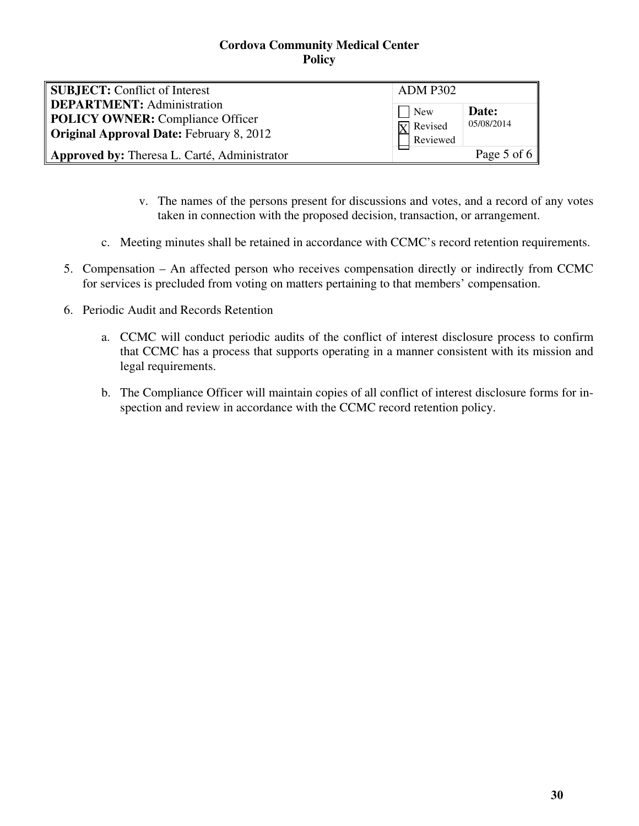| <b>SUBJECT:</b> Conflict of Interest                                                                                            | <b>ADM P302</b>                                                |                     |
|---------------------------------------------------------------------------------------------------------------------------------|----------------------------------------------------------------|---------------------|
| <b>DEPARTMENT:</b> Administration<br><b>POLICY OWNER:</b> Compliance Officer<br><b>Original Approval Date: February 8, 2012</b> | $\sqrt{\phantom{a}}$ New<br>$\overline{X}$ Revised<br>Reviewed | Date:<br>05/08/2014 |
| Approved by: Theresa L. Carté, Administrator                                                                                    |                                                                | Page 5 of 6         |

- v. The names of the persons present for discussions and votes, and a record of any votes taken in connection with the proposed decision, transaction, or arrangement.
- c. Meeting minutes shall be retained in accordance with CCMC's record retention requirements.
- 5. Compensation An affected person who receives compensation directly or indirectly from CCMC for services is precluded from voting on matters pertaining to that members' compensation.
- 6. Periodic Audit and Records Retention
	- a. CCMC will conduct periodic audits of the conflict of interest disclosure process to confirm that CCMC has a process that supports operating in a manner consistent with its mission and legal requirements.
	- b. The Compliance Officer will maintain copies of all conflict of interest disclosure forms for inspection and review in accordance with the CCMC record retention policy.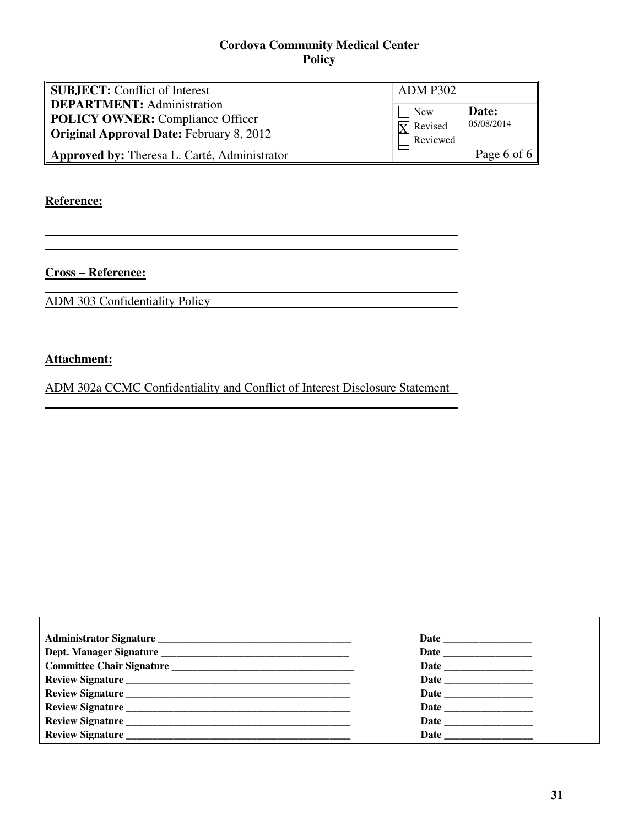| <b>SUBJECT:</b> Conflict of Interest                                                                                            | <b>ADM P302</b>                                   |                     |
|---------------------------------------------------------------------------------------------------------------------------------|---------------------------------------------------|---------------------|
| <b>DEPARTMENT:</b> Administration<br><b>POLICY OWNER:</b> Compliance Officer<br><b>Original Approval Date: February 8, 2012</b> | $\vert$ New<br>$\overline{X}$ Revised<br>Reviewed | Date:<br>05/08/2014 |
| Approved by: Theresa L. Carté, Administrator                                                                                    |                                                   | Page 6 of 6         |

## **Reference:**

 $\overline{a}$ 

 $\Gamma$ 

**Cross – Reference:** 

ADM 303 Confidentiality Policy

## **Attachment:**

ADM 302a CCMC Confidentiality and Conflict of Interest Disclosure Statement

| Review Signature | Date and the same state of the state of the state of the state of the state of the state of the state of the state of the state of the state of the state of the state of the state of the state of the state of the state of |
|------------------|-------------------------------------------------------------------------------------------------------------------------------------------------------------------------------------------------------------------------------|
|                  |                                                                                                                                                                                                                               |
|                  |                                                                                                                                                                                                                               |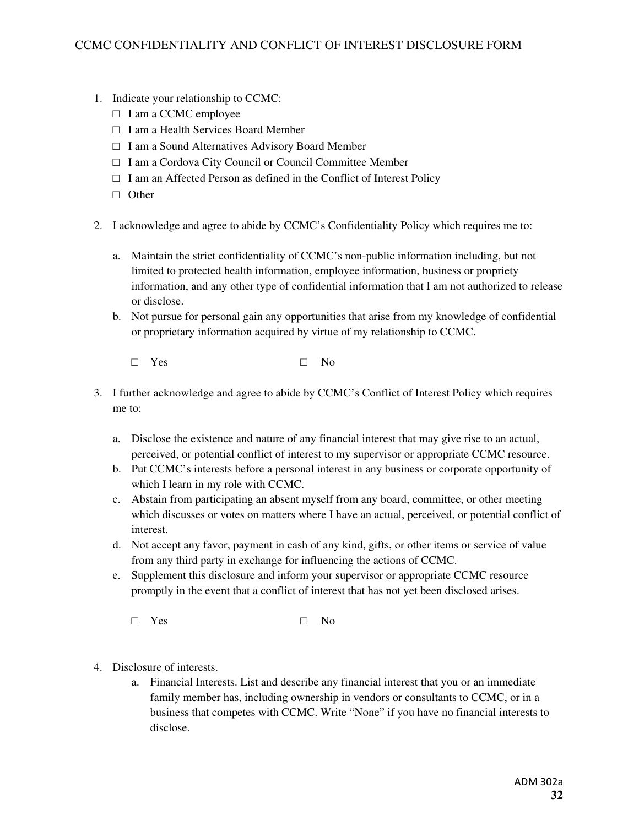- 1. Indicate your relationship to CCMC:
	- □ I am a CCMC employee
	- □ I am a Health Services Board Member
	- □ I am a Sound Alternatives Advisory Board Member
	- □ I am a Cordova City Council or Council Committee Member
	- $\Box$  I am an Affected Person as defined in the Conflict of Interest Policy
	- □ Other
- 2. I acknowledge and agree to abide by CCMC's Confidentiality Policy which requires me to:
	- a. Maintain the strict confidentiality of CCMC's non-public information including, but not limited to protected health information, employee information, business or propriety information, and any other type of confidential information that I am not authorized to release or disclose.
	- b. Not pursue for personal gain any opportunities that arise from my knowledge of confidential or proprietary information acquired by virtue of my relationship to CCMC.
		- □ Yes □ No
- 3. I further acknowledge and agree to abide by CCMC's Conflict of Interest Policy which requires me to:
	- a. Disclose the existence and nature of any financial interest that may give rise to an actual, perceived, or potential conflict of interest to my supervisor or appropriate CCMC resource.
	- b. Put CCMC's interests before a personal interest in any business or corporate opportunity of which I learn in my role with CCMC.
	- c. Abstain from participating an absent myself from any board, committee, or other meeting which discusses or votes on matters where I have an actual, perceived, or potential conflict of interest.
	- d. Not accept any favor, payment in cash of any kind, gifts, or other items or service of value from any third party in exchange for influencing the actions of CCMC.
	- e. Supplement this disclosure and inform your supervisor or appropriate CCMC resource promptly in the event that a conflict of interest that has not yet been disclosed arises.
		- □ Yes □ No
- 4. Disclosure of interests.
	- a. Financial Interests. List and describe any financial interest that you or an immediate family member has, including ownership in vendors or consultants to CCMC, or in a business that competes with CCMC. Write "None" if you have no financial interests to disclose.